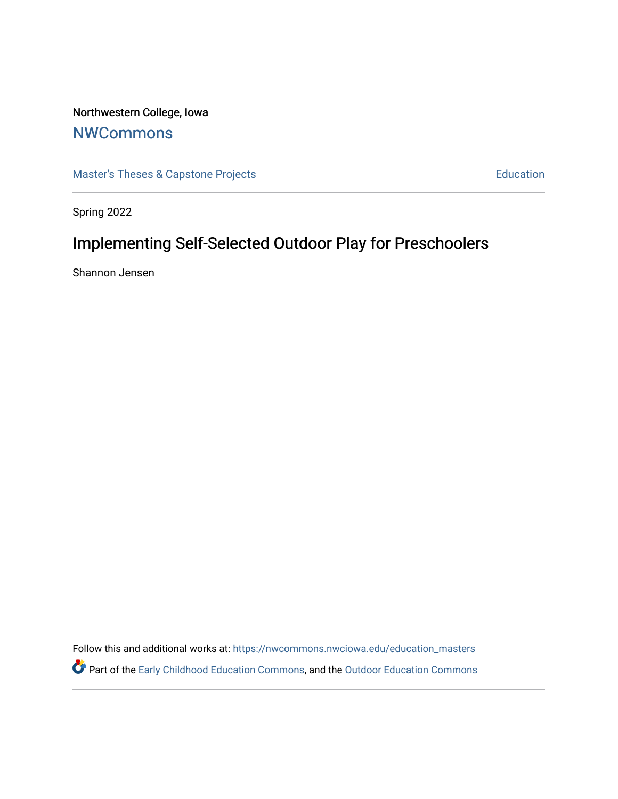# Northwestern College, Iowa

# **[NWCommons](https://nwcommons.nwciowa.edu/)**

[Master's Theses & Capstone Projects](https://nwcommons.nwciowa.edu/education_masters) **Education** Education

Spring 2022

# Implementing Self-Selected Outdoor Play for Preschoolers

Shannon Jensen

Follow this and additional works at: [https://nwcommons.nwciowa.edu/education\\_masters](https://nwcommons.nwciowa.edu/education_masters?utm_source=nwcommons.nwciowa.edu%2Feducation_masters%2F394&utm_medium=PDF&utm_campaign=PDFCoverPages) Part of the [Early Childhood Education Commons,](https://network.bepress.com/hgg/discipline/1377?utm_source=nwcommons.nwciowa.edu%2Feducation_masters%2F394&utm_medium=PDF&utm_campaign=PDFCoverPages) and the [Outdoor Education Commons](https://network.bepress.com/hgg/discipline/1381?utm_source=nwcommons.nwciowa.edu%2Feducation_masters%2F394&utm_medium=PDF&utm_campaign=PDFCoverPages)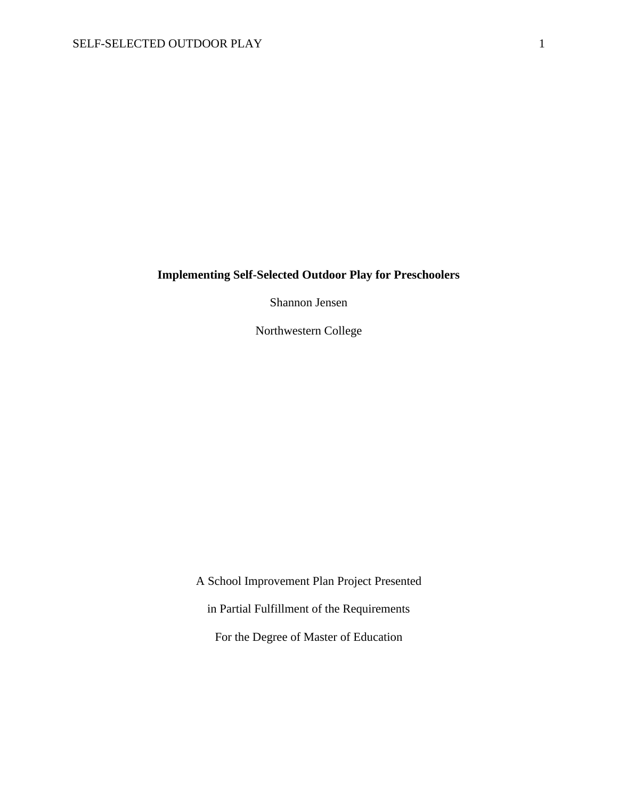# **Implementing Self-Selected Outdoor Play for Preschoolers**

Shannon Jensen

Northwestern College

A School Improvement Plan Project Presented in Partial Fulfillment of the Requirements For the Degree of Master of Education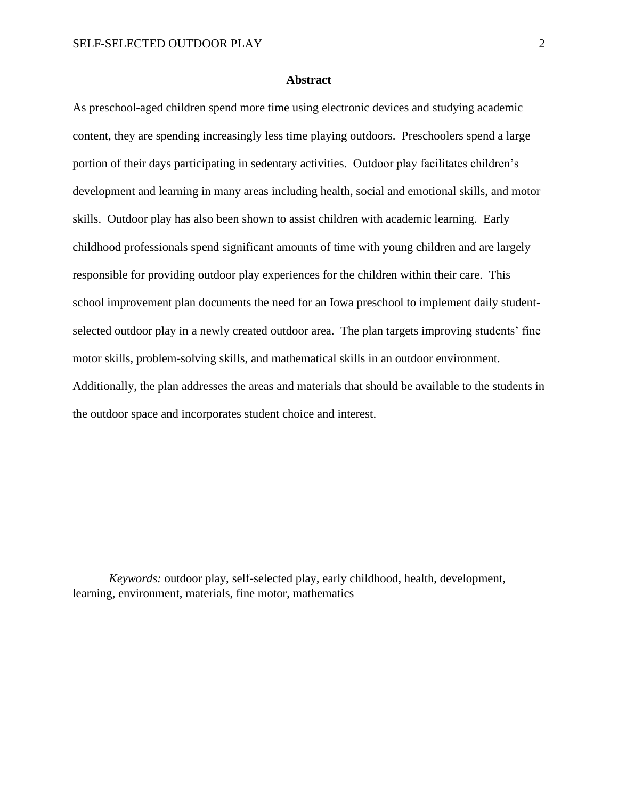# **Abstract**

<span id="page-2-0"></span>As preschool-aged children spend more time using electronic devices and studying academic content, they are spending increasingly less time playing outdoors. Preschoolers spend a large portion of their days participating in sedentary activities. Outdoor play facilitates children's development and learning in many areas including health, social and emotional skills, and motor skills. Outdoor play has also been shown to assist children with academic learning. Early childhood professionals spend significant amounts of time with young children and are largely responsible for providing outdoor play experiences for the children within their care. This school improvement plan documents the need for an Iowa preschool to implement daily studentselected outdoor play in a newly created outdoor area. The plan targets improving students' fine motor skills, problem-solving skills, and mathematical skills in an outdoor environment. Additionally, the plan addresses the areas and materials that should be available to the students in the outdoor space and incorporates student choice and interest.

*Keywords:* outdoor play, self-selected play, early childhood, health, development, learning, environment, materials, fine motor, mathematics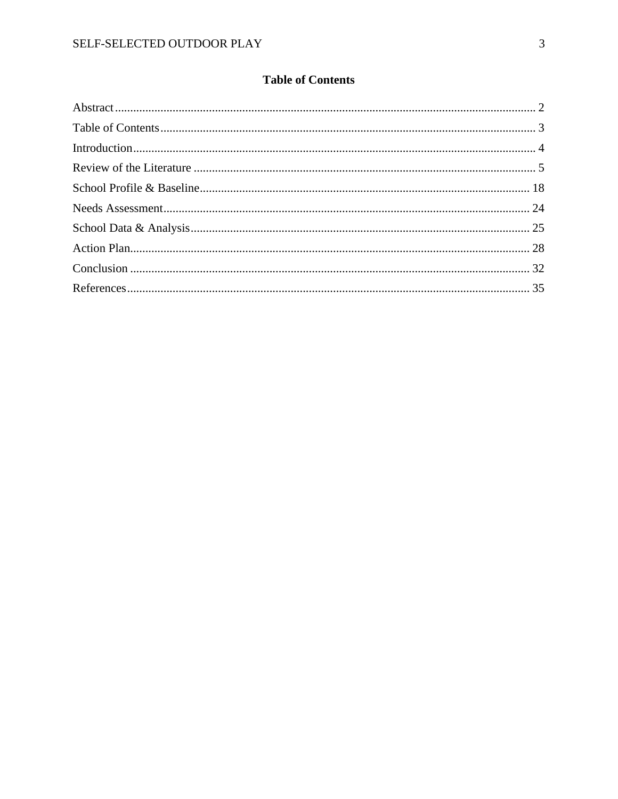# **Table of Contents**

<span id="page-3-0"></span>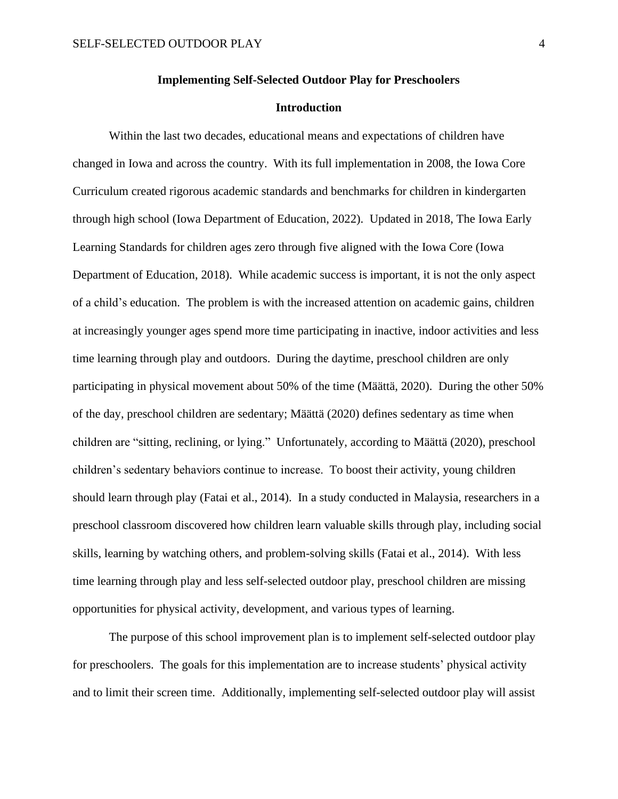#### **Implementing Self-Selected Outdoor Play for Preschoolers**

### **Introduction**

<span id="page-4-0"></span>Within the last two decades, educational means and expectations of children have changed in Iowa and across the country. With its full implementation in 2008, the Iowa Core Curriculum created rigorous academic standards and benchmarks for children in kindergarten through high school (Iowa Department of Education, 2022). Updated in 2018, The Iowa Early Learning Standards for children ages zero through five aligned with the Iowa Core (Iowa Department of Education, 2018). While academic success is important, it is not the only aspect of a child's education. The problem is with the increased attention on academic gains, children at increasingly younger ages spend more time participating in inactive, indoor activities and less time learning through play and outdoors. During the daytime, preschool children are only participating in physical movement about 50% of the time (Määttä, 2020). During the other 50% of the day, preschool children are sedentary; Määttä (2020) defines sedentary as time when children are "sitting, reclining, or lying." Unfortunately, according to Määttä (2020), preschool children's sedentary behaviors continue to increase. To boost their activity, young children should learn through play (Fatai et al., 2014). In a study conducted in Malaysia, researchers in a preschool classroom discovered how children learn valuable skills through play, including social skills, learning by watching others, and problem-solving skills (Fatai et al., 2014). With less time learning through play and less self-selected outdoor play, preschool children are missing opportunities for physical activity, development, and various types of learning.

The purpose of this school improvement plan is to implement self-selected outdoor play for preschoolers. The goals for this implementation are to increase students' physical activity and to limit their screen time. Additionally, implementing self-selected outdoor play will assist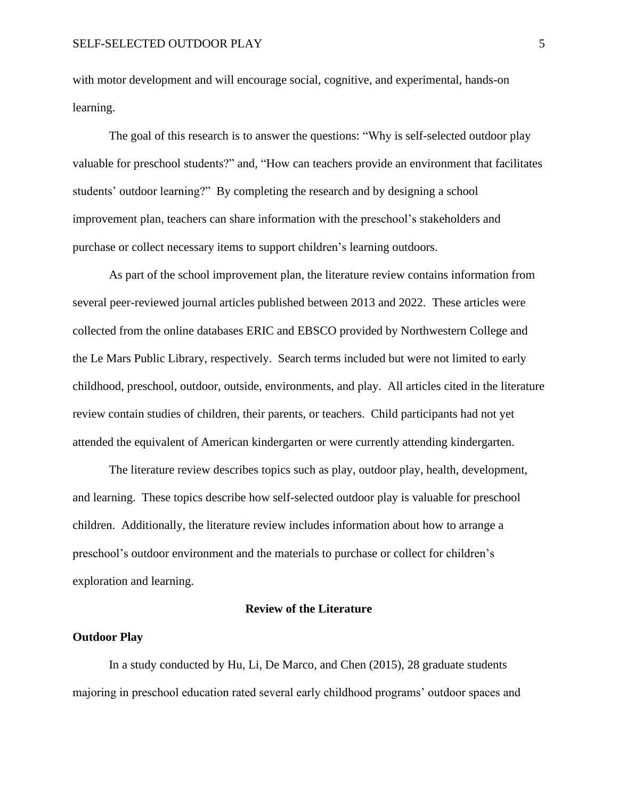with motor development and will encourage social, cognitive, and experimental, hands-on learning.

The goal of this research is to answer the questions: "Why is self-selected outdoor play valuable for preschool students?" and, "How can teachers provide an environment that facilitates students' outdoor learning?" By completing the research and by designing a school improvement plan, teachers can share information with the preschool's stakeholders and purchase or collect necessary items to support children's learning outdoors.

As part of the school improvement plan, the literature review contains information from several peer-reviewed journal articles published between 2013 and 2022. These articles were collected from the online databases ERIC and EBSCO provided by Northwestern College and the Le Mars Public Library, respectively. Search terms included but were not limited to early childhood, preschool, outdoor, outside, environments, and play. All articles cited in the literature review contain studies of children, their parents, or teachers. Child participants had not yet attended the equivalent of American kindergarten or were currently attending kindergarten.

The literature review describes topics such as play, outdoor play, health, development, and learning. These topics describe how self-selected outdoor play is valuable for preschool children. Additionally, the literature review includes information about how to arrange a preschool's outdoor environment and the materials to purchase or collect for children's exploration and learning.

#### **Review of the Literature**

#### <span id="page-5-0"></span>**Outdoor Play**

In a study conducted by Hu, Li, De Marco, and Chen (2015), 28 graduate students majoring in preschool education rated several early childhood programs' outdoor spaces and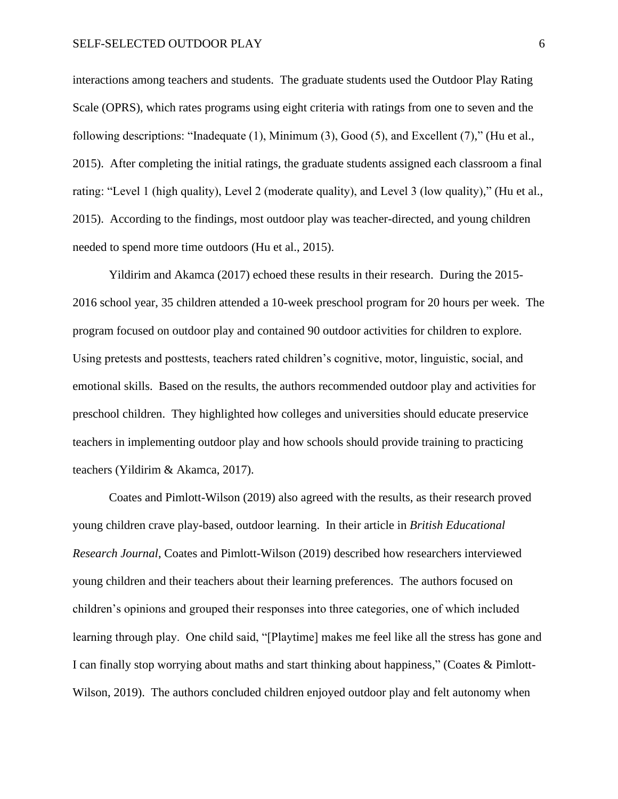interactions among teachers and students. The graduate students used the Outdoor Play Rating Scale (OPRS), which rates programs using eight criteria with ratings from one to seven and the following descriptions: "Inadequate (1), Minimum (3), Good (5), and Excellent (7)," (Hu et al., 2015). After completing the initial ratings, the graduate students assigned each classroom a final rating: "Level 1 (high quality), Level 2 (moderate quality), and Level 3 (low quality)," (Hu et al., 2015). According to the findings, most outdoor play was teacher-directed, and young children needed to spend more time outdoors (Hu et al., 2015).

Yildirim and Akamca (2017) echoed these results in their research. During the 2015- 2016 school year, 35 children attended a 10-week preschool program for 20 hours per week. The program focused on outdoor play and contained 90 outdoor activities for children to explore. Using pretests and posttests, teachers rated children's cognitive, motor, linguistic, social, and emotional skills. Based on the results, the authors recommended outdoor play and activities for preschool children. They highlighted how colleges and universities should educate preservice teachers in implementing outdoor play and how schools should provide training to practicing teachers (Yildirim & Akamca, 2017).

Coates and Pimlott-Wilson (2019) also agreed with the results, as their research proved young children crave play-based, outdoor learning. In their article in *British Educational Research Journal*, Coates and Pimlott-Wilson (2019) described how researchers interviewed young children and their teachers about their learning preferences. The authors focused on children's opinions and grouped their responses into three categories, one of which included learning through play. One child said, "[Playtime] makes me feel like all the stress has gone and I can finally stop worrying about maths and start thinking about happiness," (Coates & Pimlott-Wilson, 2019). The authors concluded children enjoyed outdoor play and felt autonomy when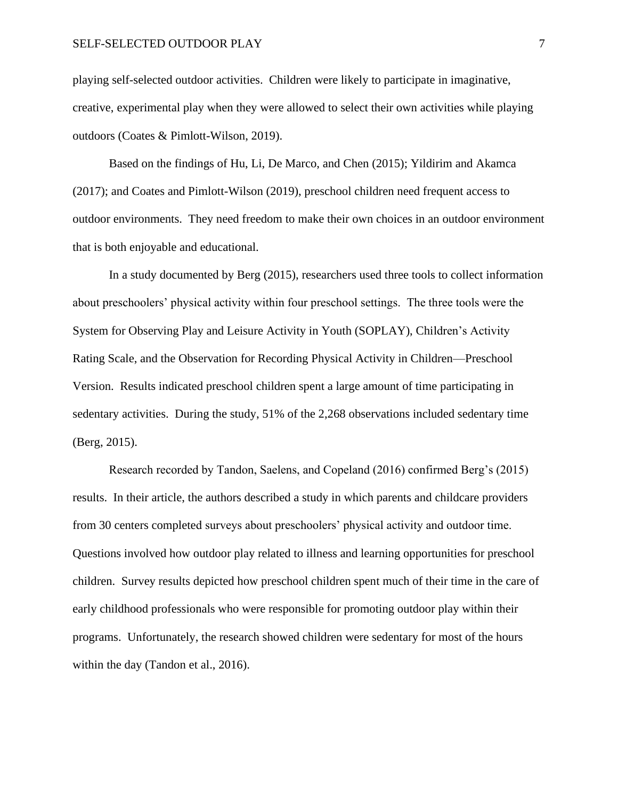playing self-selected outdoor activities. Children were likely to participate in imaginative, creative, experimental play when they were allowed to select their own activities while playing outdoors (Coates & Pimlott-Wilson, 2019).

Based on the findings of Hu, Li, De Marco, and Chen (2015); Yildirim and Akamca (2017); and Coates and Pimlott-Wilson (2019), preschool children need frequent access to outdoor environments. They need freedom to make their own choices in an outdoor environment that is both enjoyable and educational.

In a study documented by Berg (2015), researchers used three tools to collect information about preschoolers' physical activity within four preschool settings. The three tools were the System for Observing Play and Leisure Activity in Youth (SOPLAY), Children's Activity Rating Scale, and the Observation for Recording Physical Activity in Children—Preschool Version. Results indicated preschool children spent a large amount of time participating in sedentary activities. During the study, 51% of the 2,268 observations included sedentary time (Berg, 2015).

Research recorded by Tandon, Saelens, and Copeland (2016) confirmed Berg's (2015) results. In their article, the authors described a study in which parents and childcare providers from 30 centers completed surveys about preschoolers' physical activity and outdoor time. Questions involved how outdoor play related to illness and learning opportunities for preschool children. Survey results depicted how preschool children spent much of their time in the care of early childhood professionals who were responsible for promoting outdoor play within their programs. Unfortunately, the research showed children were sedentary for most of the hours within the day (Tandon et al., 2016).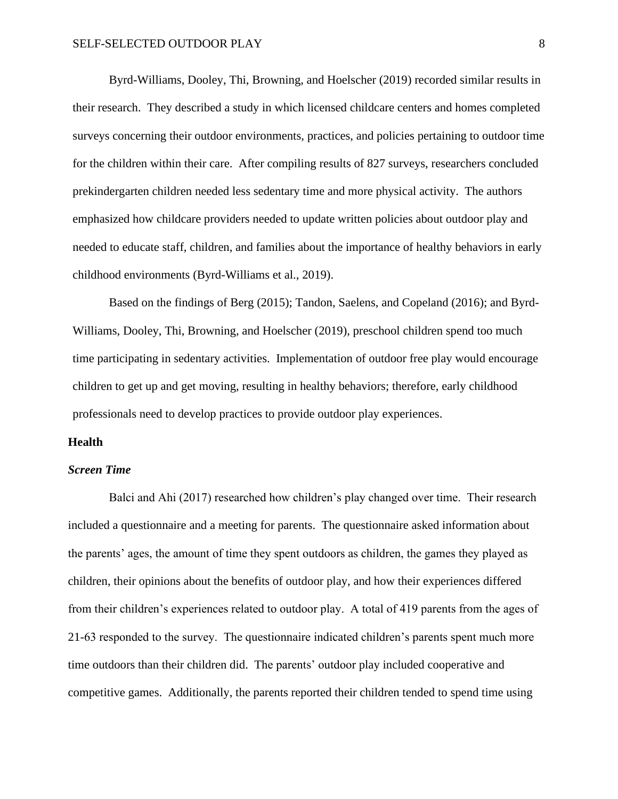Byrd-Williams, Dooley, Thi, Browning, and Hoelscher (2019) recorded similar results in their research. They described a study in which licensed childcare centers and homes completed surveys concerning their outdoor environments, practices, and policies pertaining to outdoor time for the children within their care. After compiling results of 827 surveys, researchers concluded prekindergarten children needed less sedentary time and more physical activity. The authors emphasized how childcare providers needed to update written policies about outdoor play and needed to educate staff, children, and families about the importance of healthy behaviors in early childhood environments (Byrd-Williams et al., 2019).

Based on the findings of Berg (2015); Tandon, Saelens, and Copeland (2016); and Byrd-Williams, Dooley, Thi, Browning, and Hoelscher (2019), preschool children spend too much time participating in sedentary activities. Implementation of outdoor free play would encourage children to get up and get moving, resulting in healthy behaviors; therefore, early childhood professionals need to develop practices to provide outdoor play experiences.

#### **Health**

#### *Screen Time*

Balci and Ahi (2017) researched how children's play changed over time. Their research included a questionnaire and a meeting for parents. The questionnaire asked information about the parents' ages, the amount of time they spent outdoors as children, the games they played as children, their opinions about the benefits of outdoor play, and how their experiences differed from their children's experiences related to outdoor play. A total of 419 parents from the ages of 21-63 responded to the survey. The questionnaire indicated children's parents spent much more time outdoors than their children did. The parents' outdoor play included cooperative and competitive games. Additionally, the parents reported their children tended to spend time using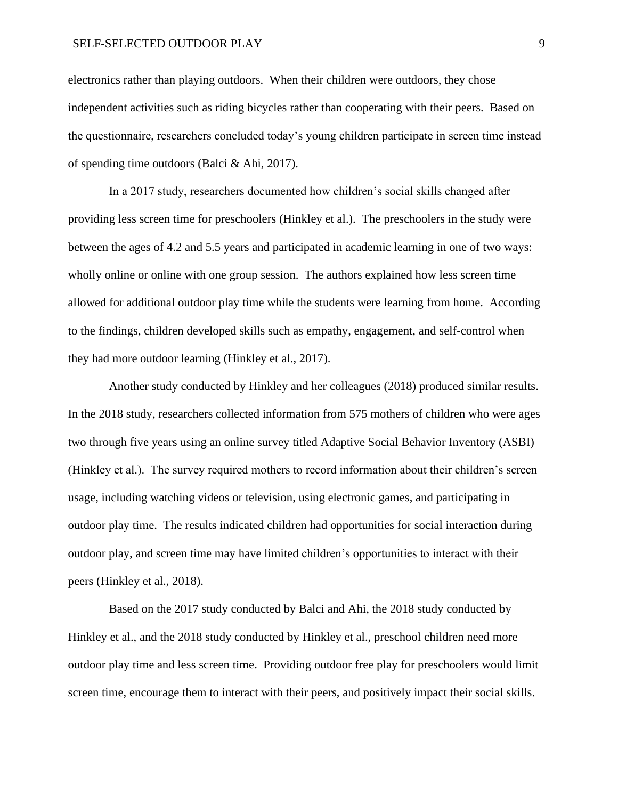#### SELF-SELECTED OUTDOOR PLAY 9

electronics rather than playing outdoors. When their children were outdoors, they chose independent activities such as riding bicycles rather than cooperating with their peers. Based on the questionnaire, researchers concluded today's young children participate in screen time instead of spending time outdoors (Balci & Ahi, 2017).

In a 2017 study, researchers documented how children's social skills changed after providing less screen time for preschoolers (Hinkley et al.). The preschoolers in the study were between the ages of 4.2 and 5.5 years and participated in academic learning in one of two ways: wholly online or online with one group session. The authors explained how less screen time allowed for additional outdoor play time while the students were learning from home. According to the findings, children developed skills such as empathy, engagement, and self-control when they had more outdoor learning (Hinkley et al., 2017).

Another study conducted by Hinkley and her colleagues (2018) produced similar results. In the 2018 study, researchers collected information from 575 mothers of children who were ages two through five years using an online survey titled Adaptive Social Behavior Inventory (ASBI) (Hinkley et al.). The survey required mothers to record information about their children's screen usage, including watching videos or television, using electronic games, and participating in outdoor play time. The results indicated children had opportunities for social interaction during outdoor play, and screen time may have limited children's opportunities to interact with their peers (Hinkley et al., 2018).

Based on the 2017 study conducted by Balci and Ahi, the 2018 study conducted by Hinkley et al., and the 2018 study conducted by Hinkley et al., preschool children need more outdoor play time and less screen time. Providing outdoor free play for preschoolers would limit screen time, encourage them to interact with their peers, and positively impact their social skills.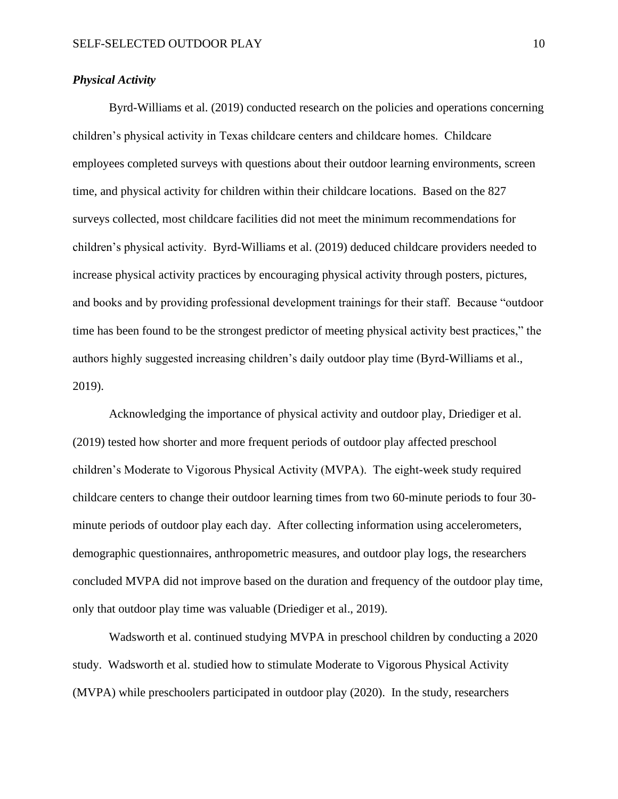#### *Physical Activity*

Byrd-Williams et al. (2019) conducted research on the policies and operations concerning children's physical activity in Texas childcare centers and childcare homes. Childcare employees completed surveys with questions about their outdoor learning environments, screen time, and physical activity for children within their childcare locations. Based on the 827 surveys collected, most childcare facilities did not meet the minimum recommendations for children's physical activity. Byrd-Williams et al. (2019) deduced childcare providers needed to increase physical activity practices by encouraging physical activity through posters, pictures, and books and by providing professional development trainings for their staff. Because "outdoor time has been found to be the strongest predictor of meeting physical activity best practices," the authors highly suggested increasing children's daily outdoor play time (Byrd-Williams et al., 2019).

Acknowledging the importance of physical activity and outdoor play, Driediger et al. (2019) tested how shorter and more frequent periods of outdoor play affected preschool children's Moderate to Vigorous Physical Activity (MVPA). The eight-week study required childcare centers to change their outdoor learning times from two 60-minute periods to four 30 minute periods of outdoor play each day. After collecting information using accelerometers, demographic questionnaires, anthropometric measures, and outdoor play logs, the researchers concluded MVPA did not improve based on the duration and frequency of the outdoor play time, only that outdoor play time was valuable (Driediger et al., 2019).

Wadsworth et al. continued studying MVPA in preschool children by conducting a 2020 study. Wadsworth et al. studied how to stimulate Moderate to Vigorous Physical Activity (MVPA) while preschoolers participated in outdoor play (2020). In the study, researchers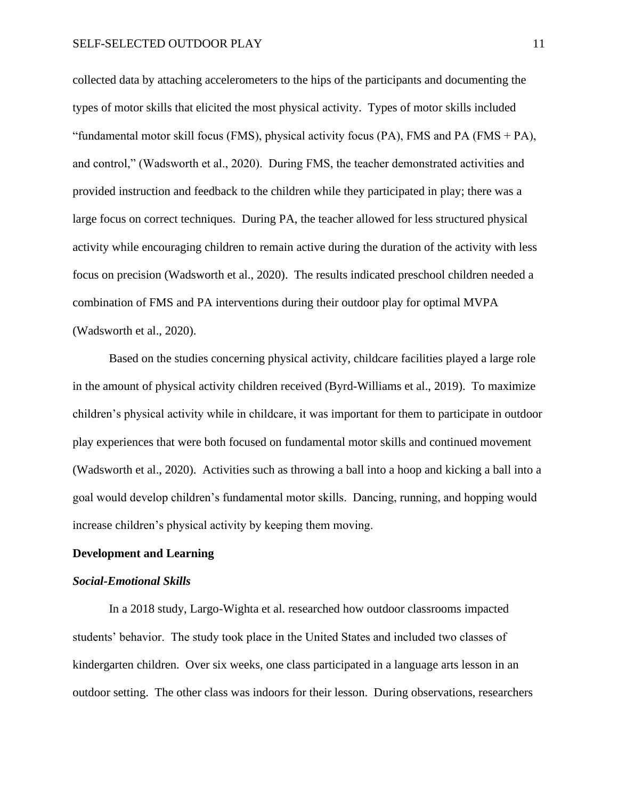collected data by attaching accelerometers to the hips of the participants and documenting the types of motor skills that elicited the most physical activity. Types of motor skills included "fundamental motor skill focus (FMS), physical activity focus (PA), FMS and PA (FMS  $+$  PA), and control," (Wadsworth et al., 2020). During FMS, the teacher demonstrated activities and provided instruction and feedback to the children while they participated in play; there was a large focus on correct techniques. During PA, the teacher allowed for less structured physical activity while encouraging children to remain active during the duration of the activity with less focus on precision (Wadsworth et al., 2020). The results indicated preschool children needed a combination of FMS and PA interventions during their outdoor play for optimal MVPA (Wadsworth et al., 2020).

Based on the studies concerning physical activity, childcare facilities played a large role in the amount of physical activity children received (Byrd-Williams et al., 2019). To maximize children's physical activity while in childcare, it was important for them to participate in outdoor play experiences that were both focused on fundamental motor skills and continued movement (Wadsworth et al., 2020). Activities such as throwing a ball into a hoop and kicking a ball into a goal would develop children's fundamental motor skills. Dancing, running, and hopping would increase children's physical activity by keeping them moving.

### **Development and Learning**

#### *Social-Emotional Skills*

In a 2018 study, Largo-Wighta et al. researched how outdoor classrooms impacted students' behavior. The study took place in the United States and included two classes of kindergarten children. Over six weeks, one class participated in a language arts lesson in an outdoor setting. The other class was indoors for their lesson. During observations, researchers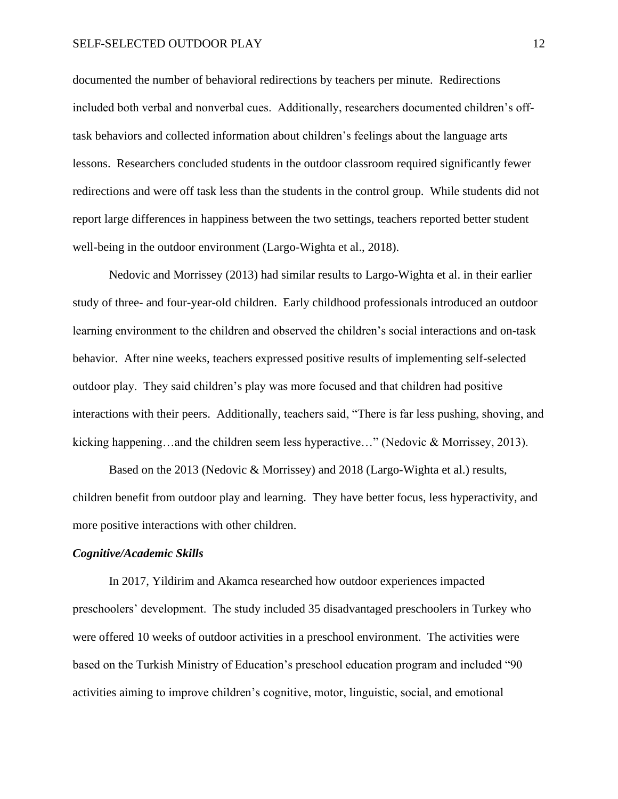documented the number of behavioral redirections by teachers per minute. Redirections included both verbal and nonverbal cues. Additionally, researchers documented children's offtask behaviors and collected information about children's feelings about the language arts lessons. Researchers concluded students in the outdoor classroom required significantly fewer redirections and were off task less than the students in the control group. While students did not report large differences in happiness between the two settings, teachers reported better student well-being in the outdoor environment (Largo-Wighta et al., 2018).

Nedovic and Morrissey (2013) had similar results to Largo-Wighta et al. in their earlier study of three- and four-year-old children. Early childhood professionals introduced an outdoor learning environment to the children and observed the children's social interactions and on-task behavior. After nine weeks, teachers expressed positive results of implementing self-selected outdoor play. They said children's play was more focused and that children had positive interactions with their peers. Additionally, teachers said, "There is far less pushing, shoving, and kicking happening…and the children seem less hyperactive…" (Nedovic & Morrissey, 2013).

Based on the 2013 (Nedovic & Morrissey) and 2018 (Largo-Wighta et al.) results, children benefit from outdoor play and learning. They have better focus, less hyperactivity, and more positive interactions with other children.

#### *Cognitive/Academic Skills*

In 2017, Yildirim and Akamca researched how outdoor experiences impacted preschoolers' development. The study included 35 disadvantaged preschoolers in Turkey who were offered 10 weeks of outdoor activities in a preschool environment. The activities were based on the Turkish Ministry of Education's preschool education program and included "90 activities aiming to improve children's cognitive, motor, linguistic, social, and emotional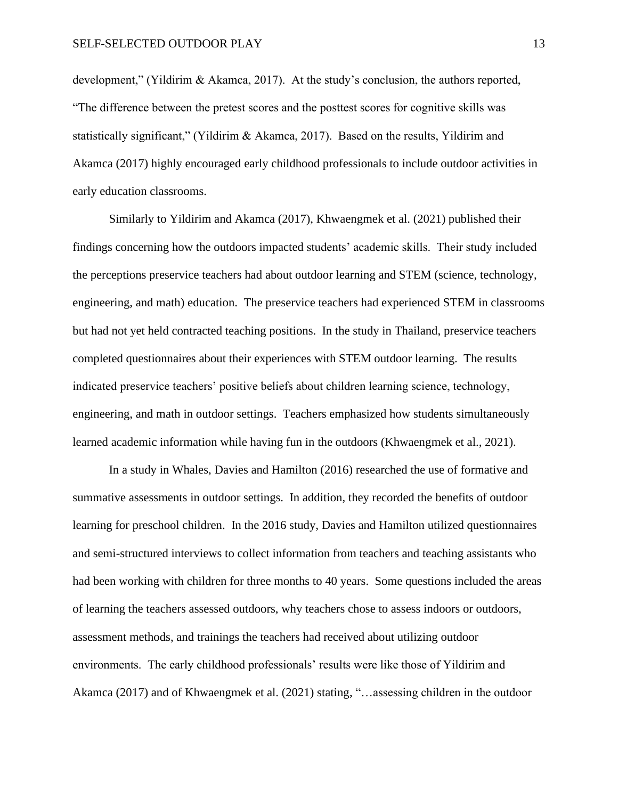development," (Yildirim & Akamca, 2017). At the study's conclusion, the authors reported, "The difference between the pretest scores and the posttest scores for cognitive skills was statistically significant," (Yildirim & Akamca, 2017). Based on the results, Yildirim and Akamca (2017) highly encouraged early childhood professionals to include outdoor activities in early education classrooms.

Similarly to Yildirim and Akamca (2017), Khwaengmek et al. (2021) published their findings concerning how the outdoors impacted students' academic skills. Their study included the perceptions preservice teachers had about outdoor learning and STEM (science, technology, engineering, and math) education. The preservice teachers had experienced STEM in classrooms but had not yet held contracted teaching positions. In the study in Thailand, preservice teachers completed questionnaires about their experiences with STEM outdoor learning. The results indicated preservice teachers' positive beliefs about children learning science, technology, engineering, and math in outdoor settings. Teachers emphasized how students simultaneously learned academic information while having fun in the outdoors (Khwaengmek et al., 2021).

In a study in Whales, Davies and Hamilton (2016) researched the use of formative and summative assessments in outdoor settings. In addition, they recorded the benefits of outdoor learning for preschool children. In the 2016 study, Davies and Hamilton utilized questionnaires and semi-structured interviews to collect information from teachers and teaching assistants who had been working with children for three months to 40 years. Some questions included the areas of learning the teachers assessed outdoors, why teachers chose to assess indoors or outdoors, assessment methods, and trainings the teachers had received about utilizing outdoor environments. The early childhood professionals' results were like those of Yildirim and Akamca (2017) and of Khwaengmek et al. (2021) stating, "…assessing children in the outdoor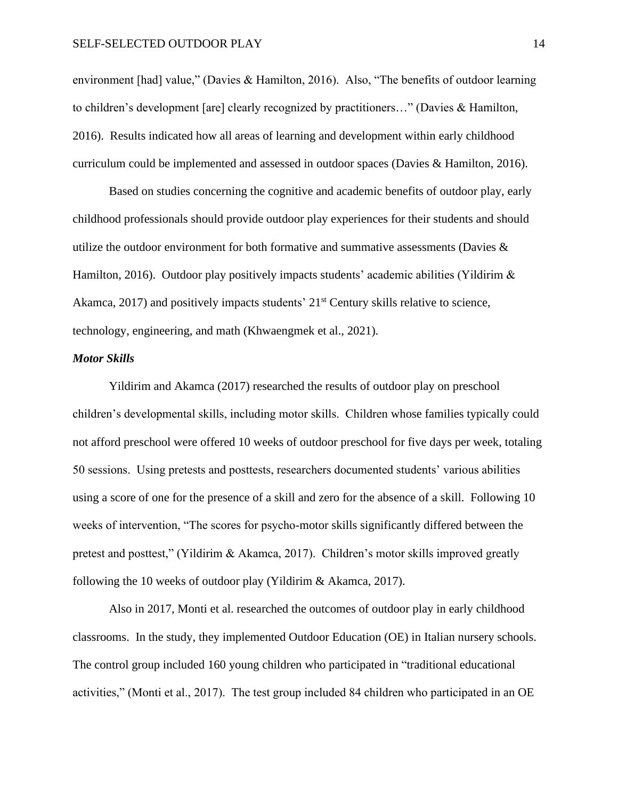environment [had] value," (Davies & Hamilton, 2016). Also, "The benefits of outdoor learning to children's development [are] clearly recognized by practitioners…" (Davies & Hamilton, 2016). Results indicated how all areas of learning and development within early childhood curriculum could be implemented and assessed in outdoor spaces (Davies & Hamilton, 2016).

Based on studies concerning the cognitive and academic benefits of outdoor play, early childhood professionals should provide outdoor play experiences for their students and should utilize the outdoor environment for both formative and summative assessments (Davies  $\&$ Hamilton, 2016). Outdoor play positively impacts students' academic abilities (Yildirim  $\&$ Akamca, 2017) and positively impacts students' 21<sup>st</sup> Century skills relative to science, technology, engineering, and math (Khwaengmek et al., 2021).

#### *Motor Skills*

Yildirim and Akamca (2017) researched the results of outdoor play on preschool children's developmental skills, including motor skills. Children whose families typically could not afford preschool were offered 10 weeks of outdoor preschool for five days per week, totaling 50 sessions. Using pretests and posttests, researchers documented students' various abilities using a score of one for the presence of a skill and zero for the absence of a skill. Following 10 weeks of intervention, "The scores for psycho-motor skills significantly differed between the pretest and posttest," (Yildirim & Akamca, 2017). Children's motor skills improved greatly following the 10 weeks of outdoor play (Yildirim & Akamca, 2017).

Also in 2017, Monti et al. researched the outcomes of outdoor play in early childhood classrooms. In the study, they implemented Outdoor Education (OE) in Italian nursery schools. The control group included 160 young children who participated in "traditional educational activities," (Monti et al., 2017). The test group included 84 children who participated in an OE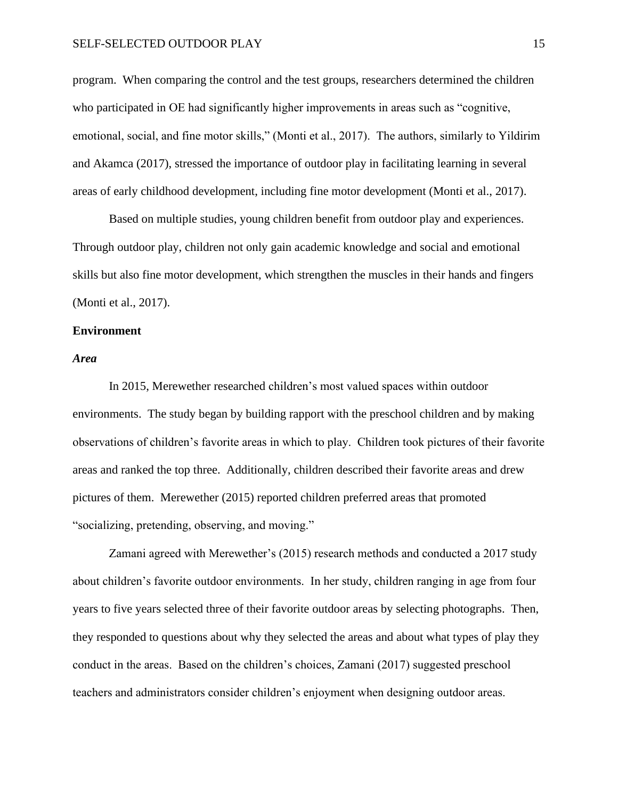#### SELF-SELECTED OUTDOOR PLAY 15

program. When comparing the control and the test groups, researchers determined the children who participated in OE had significantly higher improvements in areas such as "cognitive, emotional, social, and fine motor skills," (Monti et al., 2017). The authors, similarly to Yildirim and Akamca (2017), stressed the importance of outdoor play in facilitating learning in several areas of early childhood development, including fine motor development (Monti et al., 2017).

Based on multiple studies, young children benefit from outdoor play and experiences. Through outdoor play, children not only gain academic knowledge and social and emotional skills but also fine motor development, which strengthen the muscles in their hands and fingers (Monti et al., 2017).

#### **Environment**

#### *Area*

In 2015, Merewether researched children's most valued spaces within outdoor environments. The study began by building rapport with the preschool children and by making observations of children's favorite areas in which to play. Children took pictures of their favorite areas and ranked the top three. Additionally, children described their favorite areas and drew pictures of them. Merewether (2015) reported children preferred areas that promoted "socializing, pretending, observing, and moving."

Zamani agreed with Merewether's (2015) research methods and conducted a 2017 study about children's favorite outdoor environments. In her study, children ranging in age from four years to five years selected three of their favorite outdoor areas by selecting photographs. Then, they responded to questions about why they selected the areas and about what types of play they conduct in the areas. Based on the children's choices, Zamani (2017) suggested preschool teachers and administrators consider children's enjoyment when designing outdoor areas.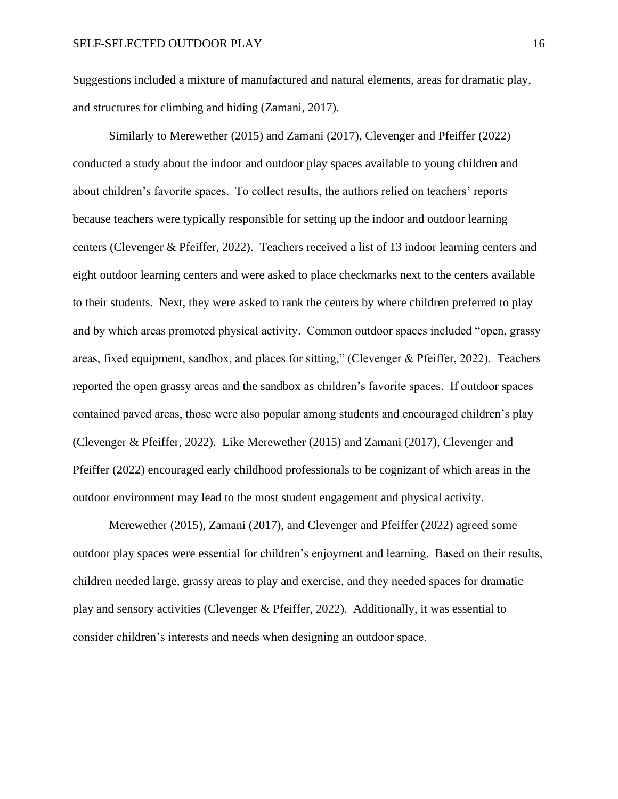Suggestions included a mixture of manufactured and natural elements, areas for dramatic play, and structures for climbing and hiding (Zamani, 2017).

Similarly to Merewether (2015) and Zamani (2017), Clevenger and Pfeiffer (2022) conducted a study about the indoor and outdoor play spaces available to young children and about children's favorite spaces. To collect results, the authors relied on teachers' reports because teachers were typically responsible for setting up the indoor and outdoor learning centers (Clevenger & Pfeiffer, 2022). Teachers received a list of 13 indoor learning centers and eight outdoor learning centers and were asked to place checkmarks next to the centers available to their students. Next, they were asked to rank the centers by where children preferred to play and by which areas promoted physical activity. Common outdoor spaces included "open, grassy areas, fixed equipment, sandbox, and places for sitting," (Clevenger & Pfeiffer, 2022). Teachers reported the open grassy areas and the sandbox as children's favorite spaces. If outdoor spaces contained paved areas, those were also popular among students and encouraged children's play (Clevenger & Pfeiffer, 2022). Like Merewether (2015) and Zamani (2017), Clevenger and Pfeiffer (2022) encouraged early childhood professionals to be cognizant of which areas in the outdoor environment may lead to the most student engagement and physical activity.

Merewether (2015), Zamani (2017), and Clevenger and Pfeiffer (2022) agreed some outdoor play spaces were essential for children's enjoyment and learning. Based on their results, children needed large, grassy areas to play and exercise, and they needed spaces for dramatic play and sensory activities (Clevenger & Pfeiffer, 2022). Additionally, it was essential to consider children's interests and needs when designing an outdoor space.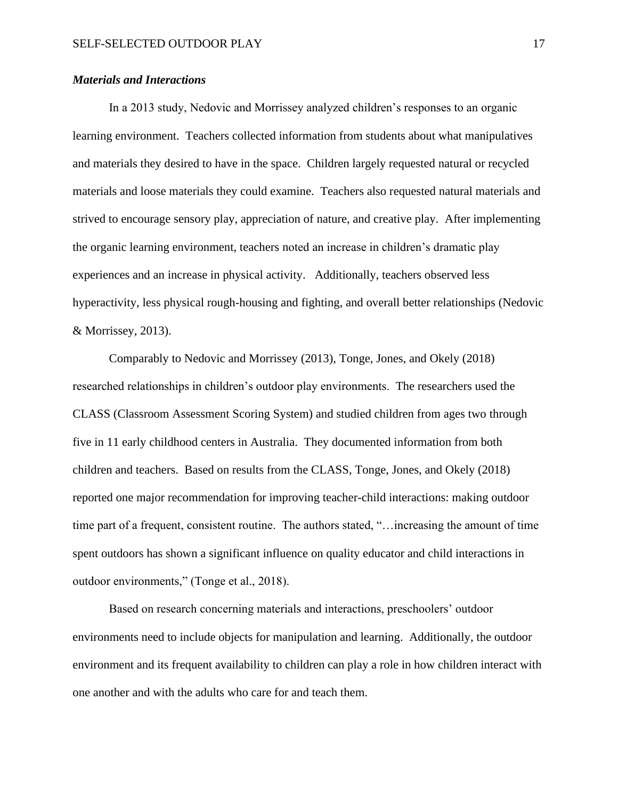## *Materials and Interactions*

In a 2013 study, Nedovic and Morrissey analyzed children's responses to an organic learning environment. Teachers collected information from students about what manipulatives and materials they desired to have in the space. Children largely requested natural or recycled materials and loose materials they could examine. Teachers also requested natural materials and strived to encourage sensory play, appreciation of nature, and creative play. After implementing the organic learning environment, teachers noted an increase in children's dramatic play experiences and an increase in physical activity. Additionally, teachers observed less hyperactivity, less physical rough-housing and fighting, and overall better relationships (Nedovic & Morrissey, 2013).

Comparably to Nedovic and Morrissey (2013), Tonge, Jones, and Okely (2018) researched relationships in children's outdoor play environments. The researchers used the CLASS (Classroom Assessment Scoring System) and studied children from ages two through five in 11 early childhood centers in Australia. They documented information from both children and teachers. Based on results from the CLASS, Tonge, Jones, and Okely (2018) reported one major recommendation for improving teacher-child interactions: making outdoor time part of a frequent, consistent routine. The authors stated, "…increasing the amount of time spent outdoors has shown a significant influence on quality educator and child interactions in outdoor environments," (Tonge et al., 2018).

Based on research concerning materials and interactions, preschoolers' outdoor environments need to include objects for manipulation and learning. Additionally, the outdoor environment and its frequent availability to children can play a role in how children interact with one another and with the adults who care for and teach them.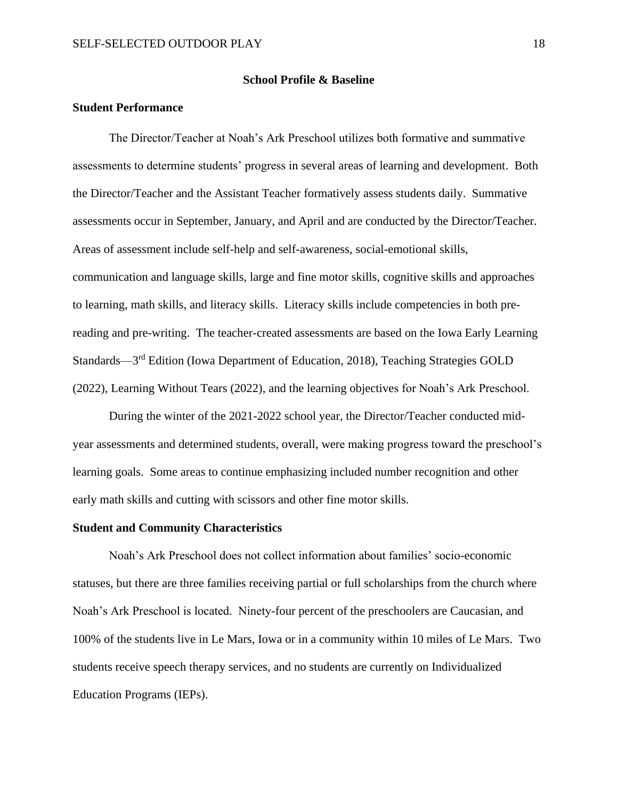#### **School Profile & Baseline**

### <span id="page-18-0"></span>**Student Performance**

The Director/Teacher at Noah's Ark Preschool utilizes both formative and summative assessments to determine students' progress in several areas of learning and development. Both the Director/Teacher and the Assistant Teacher formatively assess students daily. Summative assessments occur in September, January, and April and are conducted by the Director/Teacher. Areas of assessment include self-help and self-awareness, social-emotional skills, communication and language skills, large and fine motor skills, cognitive skills and approaches to learning, math skills, and literacy skills. Literacy skills include competencies in both prereading and pre-writing. The teacher-created assessments are based on the Iowa Early Learning Standards—3<sup>rd</sup> Edition (Iowa Department of Education, 2018), Teaching Strategies GOLD (2022), Learning Without Tears (2022), and the learning objectives for Noah's Ark Preschool.

During the winter of the 2021-2022 school year, the Director/Teacher conducted midyear assessments and determined students, overall, were making progress toward the preschool's learning goals. Some areas to continue emphasizing included number recognition and other early math skills and cutting with scissors and other fine motor skills.

#### **Student and Community Characteristics**

Noah's Ark Preschool does not collect information about families' socio-economic statuses, but there are three families receiving partial or full scholarships from the church where Noah's Ark Preschool is located. Ninety-four percent of the preschoolers are Caucasian, and 100% of the students live in Le Mars, Iowa or in a community within 10 miles of Le Mars. Two students receive speech therapy services, and no students are currently on Individualized Education Programs (IEPs).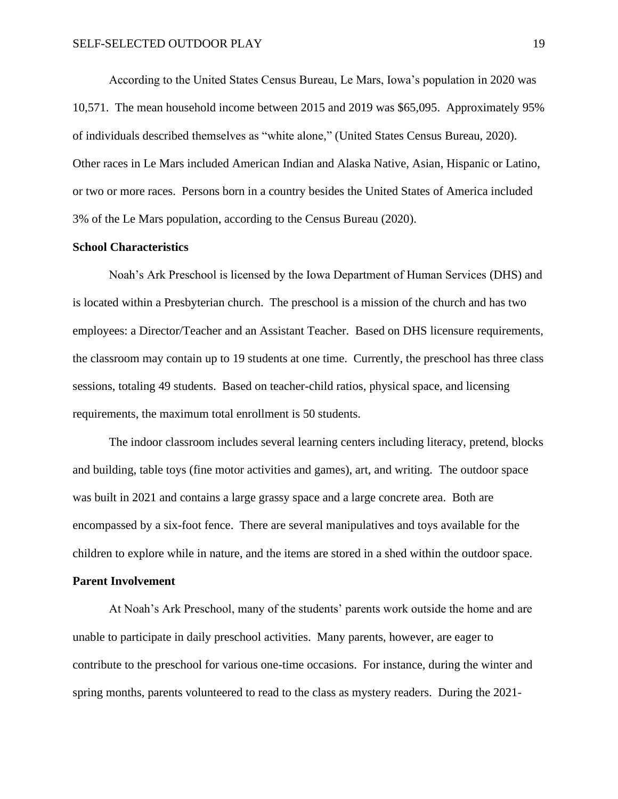According to the United States Census Bureau, Le Mars, Iowa's population in 2020 was 10,571. The mean household income between 2015 and 2019 was \$65,095. Approximately 95% of individuals described themselves as "white alone," (United States Census Bureau, 2020). Other races in Le Mars included American Indian and Alaska Native, Asian, Hispanic or Latino, or two or more races. Persons born in a country besides the United States of America included 3% of the Le Mars population, according to the Census Bureau (2020).

#### **School Characteristics**

Noah's Ark Preschool is licensed by the Iowa Department of Human Services (DHS) and is located within a Presbyterian church. The preschool is a mission of the church and has two employees: a Director/Teacher and an Assistant Teacher. Based on DHS licensure requirements, the classroom may contain up to 19 students at one time. Currently, the preschool has three class sessions, totaling 49 students. Based on teacher-child ratios, physical space, and licensing requirements, the maximum total enrollment is 50 students.

The indoor classroom includes several learning centers including literacy, pretend, blocks and building, table toys (fine motor activities and games), art, and writing. The outdoor space was built in 2021 and contains a large grassy space and a large concrete area. Both are encompassed by a six-foot fence. There are several manipulatives and toys available for the children to explore while in nature, and the items are stored in a shed within the outdoor space.

#### **Parent Involvement**

At Noah's Ark Preschool, many of the students' parents work outside the home and are unable to participate in daily preschool activities. Many parents, however, are eager to contribute to the preschool for various one-time occasions. For instance, during the winter and spring months, parents volunteered to read to the class as mystery readers. During the 2021-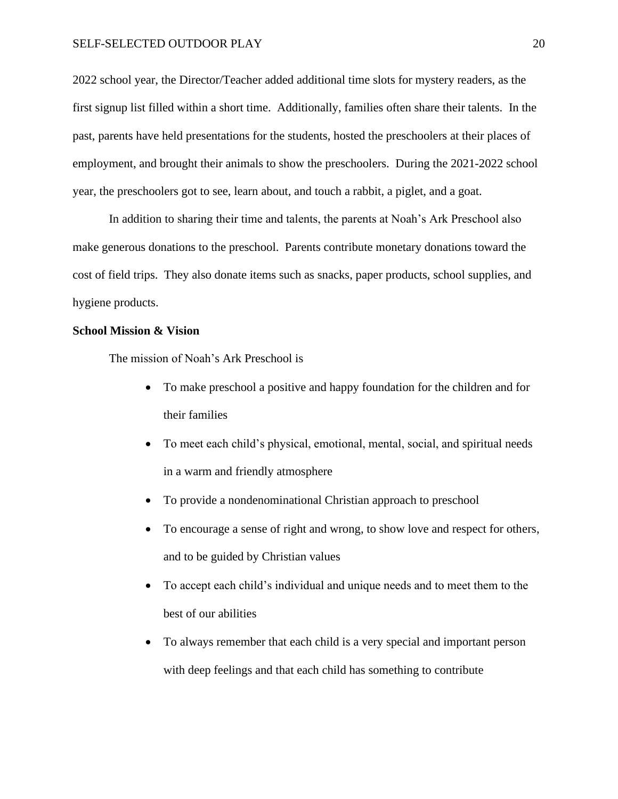#### SELF-SELECTED OUTDOOR PLAY 20

2022 school year, the Director/Teacher added additional time slots for mystery readers, as the first signup list filled within a short time. Additionally, families often share their talents. In the past, parents have held presentations for the students, hosted the preschoolers at their places of employment, and brought their animals to show the preschoolers. During the 2021-2022 school year, the preschoolers got to see, learn about, and touch a rabbit, a piglet, and a goat.

In addition to sharing their time and talents, the parents at Noah's Ark Preschool also make generous donations to the preschool. Parents contribute monetary donations toward the cost of field trips. They also donate items such as snacks, paper products, school supplies, and hygiene products.

#### **School Mission & Vision**

The mission of Noah's Ark Preschool is

- To make preschool a positive and happy foundation for the children and for their families
- To meet each child's physical, emotional, mental, social, and spiritual needs in a warm and friendly atmosphere
- To provide a nondenominational Christian approach to preschool
- To encourage a sense of right and wrong, to show love and respect for others, and to be guided by Christian values
- To accept each child's individual and unique needs and to meet them to the best of our abilities
- To always remember that each child is a very special and important person with deep feelings and that each child has something to contribute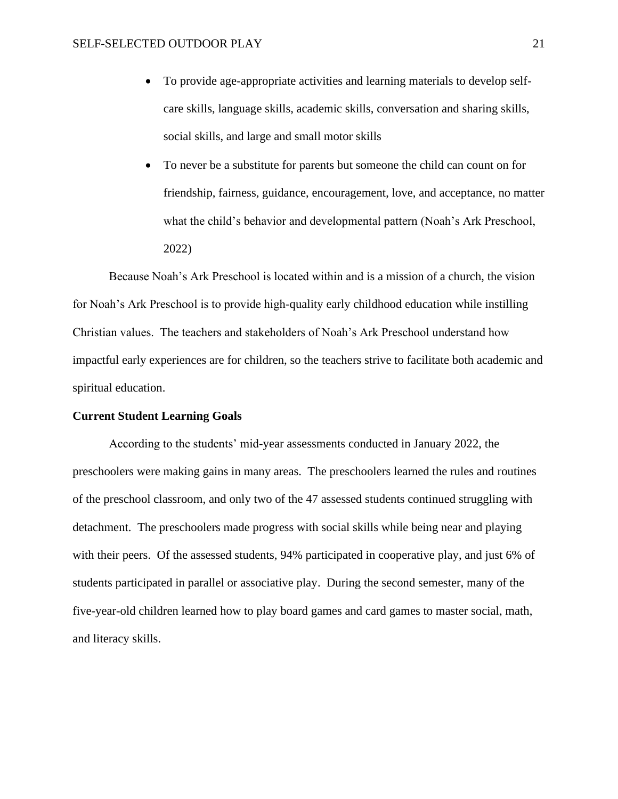- To provide age-appropriate activities and learning materials to develop selfcare skills, language skills, academic skills, conversation and sharing skills, social skills, and large and small motor skills
- To never be a substitute for parents but someone the child can count on for friendship, fairness, guidance, encouragement, love, and acceptance, no matter what the child's behavior and developmental pattern (Noah's Ark Preschool, 2022)

Because Noah's Ark Preschool is located within and is a mission of a church, the vision for Noah's Ark Preschool is to provide high-quality early childhood education while instilling Christian values. The teachers and stakeholders of Noah's Ark Preschool understand how impactful early experiences are for children, so the teachers strive to facilitate both academic and spiritual education.

## **Current Student Learning Goals**

According to the students' mid-year assessments conducted in January 2022, the preschoolers were making gains in many areas. The preschoolers learned the rules and routines of the preschool classroom, and only two of the 47 assessed students continued struggling with detachment. The preschoolers made progress with social skills while being near and playing with their peers. Of the assessed students, 94% participated in cooperative play, and just 6% of students participated in parallel or associative play. During the second semester, many of the five-year-old children learned how to play board games and card games to master social, math, and literacy skills.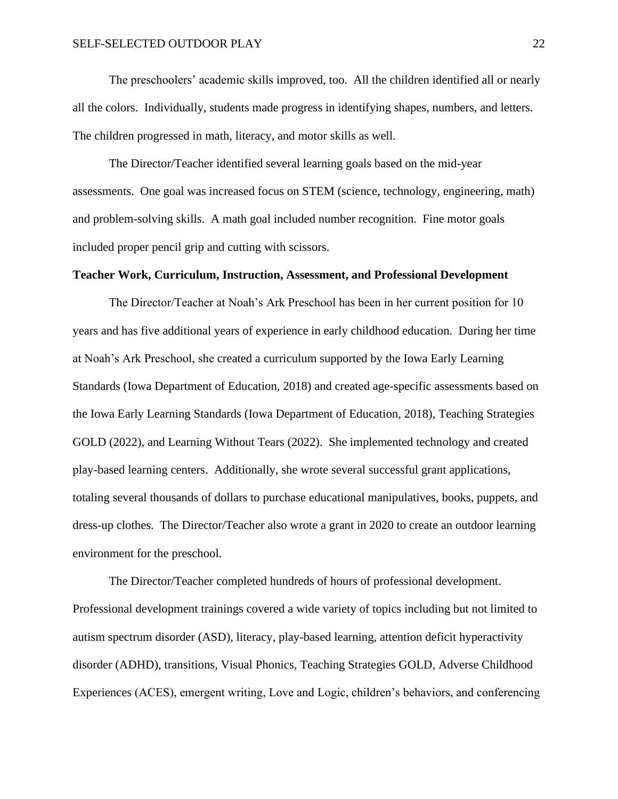The preschoolers' academic skills improved, too. All the children identified all or nearly all the colors. Individually, students made progress in identifying shapes, numbers, and letters. The children progressed in math, literacy, and motor skills as well.

The Director/Teacher identified several learning goals based on the mid-year assessments. One goal was increased focus on STEM (science, technology, engineering, math) and problem-solving skills. A math goal included number recognition. Fine motor goals included proper pencil grip and cutting with scissors.

#### **Teacher Work, Curriculum, Instruction, Assessment, and Professional Development**

The Director/Teacher at Noah's Ark Preschool has been in her current position for 10 years and has five additional years of experience in early childhood education. During her time at Noah's Ark Preschool, she created a curriculum supported by the Iowa Early Learning Standards (Iowa Department of Education, 2018) and created age-specific assessments based on the Iowa Early Learning Standards (Iowa Department of Education, 2018), Teaching Strategies GOLD (2022), and Learning Without Tears (2022). She implemented technology and created play-based learning centers. Additionally, she wrote several successful grant applications, totaling several thousands of dollars to purchase educational manipulatives, books, puppets, and dress-up clothes. The Director/Teacher also wrote a grant in 2020 to create an outdoor learning environment for the preschool.

The Director/Teacher completed hundreds of hours of professional development. Professional development trainings covered a wide variety of topics including but not limited to autism spectrum disorder (ASD), literacy, play-based learning, attention deficit hyperactivity disorder (ADHD), transitions, Visual Phonics, Teaching Strategies GOLD, Adverse Childhood Experiences (ACES), emergent writing, Love and Logic, children's behaviors, and conferencing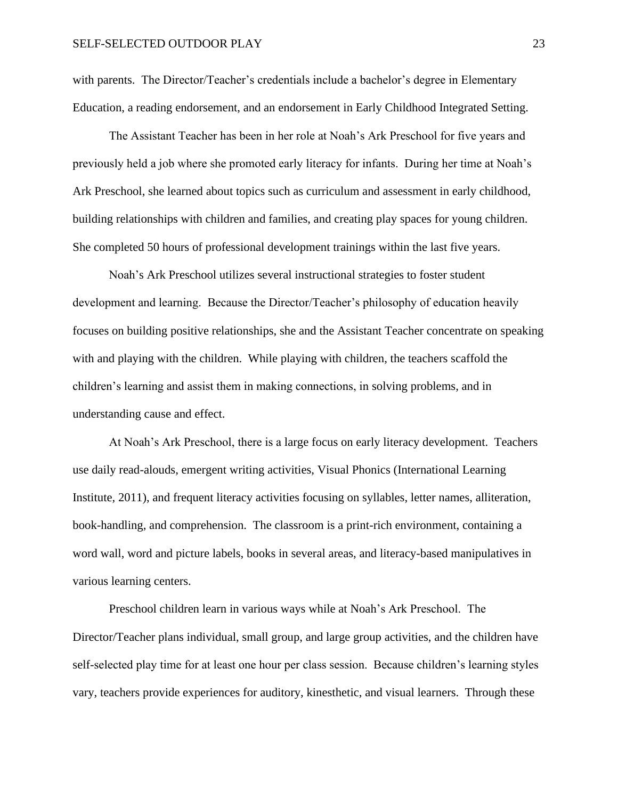with parents. The Director/Teacher's credentials include a bachelor's degree in Elementary Education, a reading endorsement, and an endorsement in Early Childhood Integrated Setting.

The Assistant Teacher has been in her role at Noah's Ark Preschool for five years and previously held a job where she promoted early literacy for infants. During her time at Noah's Ark Preschool, she learned about topics such as curriculum and assessment in early childhood, building relationships with children and families, and creating play spaces for young children. She completed 50 hours of professional development trainings within the last five years.

Noah's Ark Preschool utilizes several instructional strategies to foster student development and learning. Because the Director/Teacher's philosophy of education heavily focuses on building positive relationships, she and the Assistant Teacher concentrate on speaking with and playing with the children. While playing with children, the teachers scaffold the children's learning and assist them in making connections, in solving problems, and in understanding cause and effect.

At Noah's Ark Preschool, there is a large focus on early literacy development. Teachers use daily read-alouds, emergent writing activities, Visual Phonics (International Learning Institute, 2011), and frequent literacy activities focusing on syllables, letter names, alliteration, book-handling, and comprehension. The classroom is a print-rich environment, containing a word wall, word and picture labels, books in several areas, and literacy-based manipulatives in various learning centers.

Preschool children learn in various ways while at Noah's Ark Preschool. The Director/Teacher plans individual, small group, and large group activities, and the children have self-selected play time for at least one hour per class session. Because children's learning styles vary, teachers provide experiences for auditory, kinesthetic, and visual learners. Through these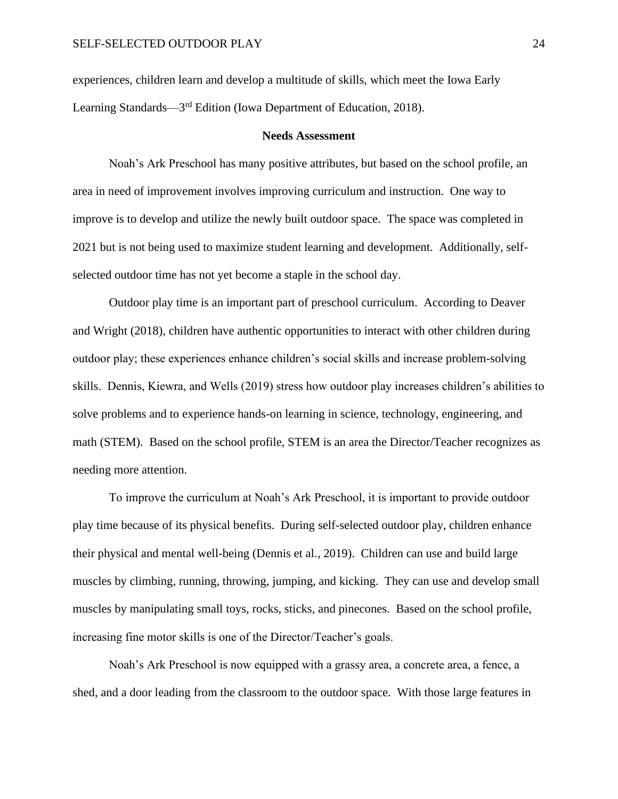experiences, children learn and develop a multitude of skills, which meet the Iowa Early Learning Standards—3<sup>rd</sup> Edition (Iowa Department of Education, 2018).

#### **Needs Assessment**

<span id="page-24-0"></span>Noah's Ark Preschool has many positive attributes, but based on the school profile, an area in need of improvement involves improving curriculum and instruction. One way to improve is to develop and utilize the newly built outdoor space. The space was completed in 2021 but is not being used to maximize student learning and development. Additionally, selfselected outdoor time has not yet become a staple in the school day.

Outdoor play time is an important part of preschool curriculum. According to Deaver and Wright (2018), children have authentic opportunities to interact with other children during outdoor play; these experiences enhance children's social skills and increase problem-solving skills. Dennis, Kiewra, and Wells (2019) stress how outdoor play increases children's abilities to solve problems and to experience hands-on learning in science, technology, engineering, and math (STEM). Based on the school profile, STEM is an area the Director/Teacher recognizes as needing more attention.

To improve the curriculum at Noah's Ark Preschool, it is important to provide outdoor play time because of its physical benefits. During self-selected outdoor play, children enhance their physical and mental well-being (Dennis et al., 2019). Children can use and build large muscles by climbing, running, throwing, jumping, and kicking. They can use and develop small muscles by manipulating small toys, rocks, sticks, and pinecones. Based on the school profile, increasing fine motor skills is one of the Director/Teacher's goals.

Noah's Ark Preschool is now equipped with a grassy area, a concrete area, a fence, a shed, and a door leading from the classroom to the outdoor space. With those large features in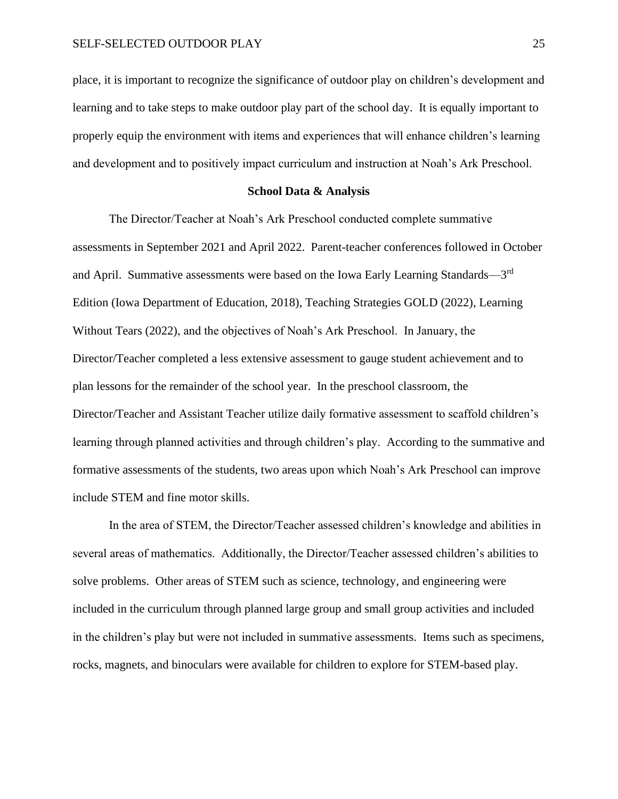place, it is important to recognize the significance of outdoor play on children's development and learning and to take steps to make outdoor play part of the school day. It is equally important to properly equip the environment with items and experiences that will enhance children's learning and development and to positively impact curriculum and instruction at Noah's Ark Preschool.

#### **School Data & Analysis**

<span id="page-25-0"></span>The Director/Teacher at Noah's Ark Preschool conducted complete summative assessments in September 2021 and April 2022. Parent-teacher conferences followed in October and April. Summative assessments were based on the Iowa Early Learning Standards—3rd Edition (Iowa Department of Education, 2018), Teaching Strategies GOLD (2022), Learning Without Tears (2022), and the objectives of Noah's Ark Preschool. In January, the Director/Teacher completed a less extensive assessment to gauge student achievement and to plan lessons for the remainder of the school year. In the preschool classroom, the Director/Teacher and Assistant Teacher utilize daily formative assessment to scaffold children's learning through planned activities and through children's play. According to the summative and formative assessments of the students, two areas upon which Noah's Ark Preschool can improve include STEM and fine motor skills.

In the area of STEM, the Director/Teacher assessed children's knowledge and abilities in several areas of mathematics. Additionally, the Director/Teacher assessed children's abilities to solve problems. Other areas of STEM such as science, technology, and engineering were included in the curriculum through planned large group and small group activities and included in the children's play but were not included in summative assessments. Items such as specimens, rocks, magnets, and binoculars were available for children to explore for STEM-based play.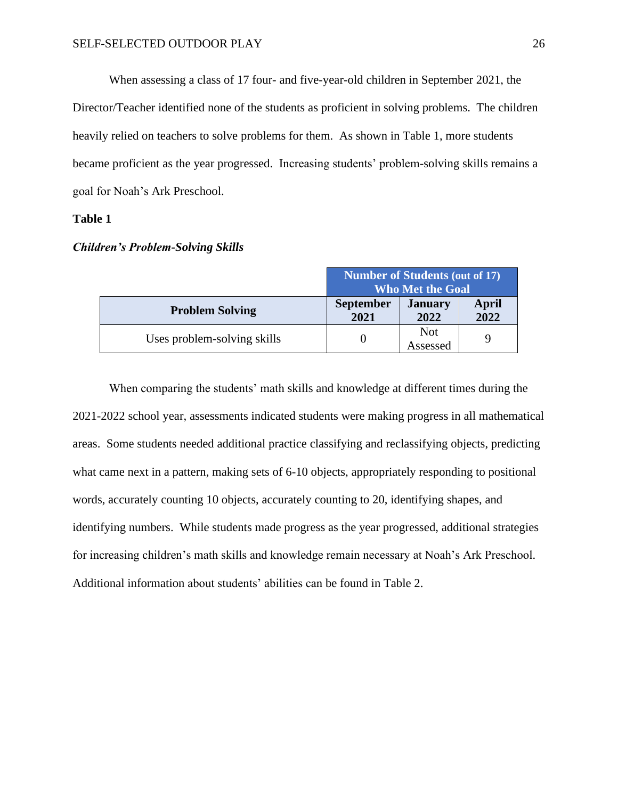When assessing a class of 17 four- and five-year-old children in September 2021, the Director/Teacher identified none of the students as proficient in solving problems. The children heavily relied on teachers to solve problems for them. As shown in Table 1, more students became proficient as the year progressed. Increasing students' problem-solving skills remains a goal for Noah's Ark Preschool.

#### **Table 1**

|                             | <b>Number of Students (out of 17)</b><br><b>Who Met the Goal</b> |                        |                      |
|-----------------------------|------------------------------------------------------------------|------------------------|----------------------|
| <b>Problem Solving</b>      | <b>September</b><br>2021                                         | <b>January</b><br>2022 | <b>April</b><br>2022 |
| Uses problem-solving skills |                                                                  | <b>Not</b><br>Assessed |                      |

# *Children's Problem-Solving Skills*

When comparing the students' math skills and knowledge at different times during the 2021-2022 school year, assessments indicated students were making progress in all mathematical areas. Some students needed additional practice classifying and reclassifying objects, predicting what came next in a pattern, making sets of 6-10 objects, appropriately responding to positional words, accurately counting 10 objects, accurately counting to 20, identifying shapes, and identifying numbers. While students made progress as the year progressed, additional strategies for increasing children's math skills and knowledge remain necessary at Noah's Ark Preschool. Additional information about students' abilities can be found in Table 2.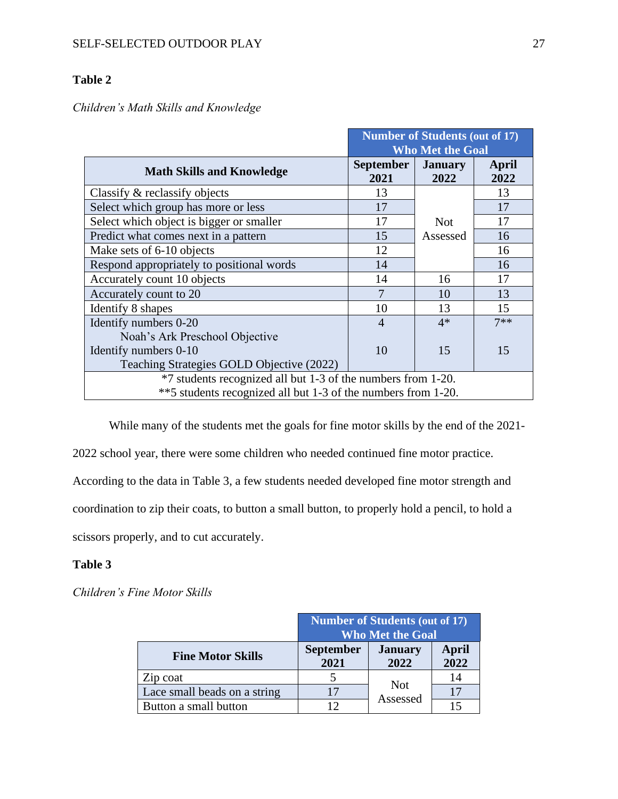# **Table 2**

# *Children's Math Skills and Knowledge*

|                                                               |                          | <b>Number of Students (out of 17)</b> |               |
|---------------------------------------------------------------|--------------------------|---------------------------------------|---------------|
|                                                               |                          | <b>Who Met the Goal</b>               |               |
| <b>Math Skills and Knowledge</b>                              | <b>September</b><br>2021 | <b>January</b><br>2022                | April<br>2022 |
| Classify & reclassify objects                                 | 13                       |                                       | 13            |
| Select which group has more or less                           | 17                       |                                       | 17            |
| Select which object is bigger or smaller                      | 17                       | <b>Not</b>                            | 17            |
| Predict what comes next in a pattern                          | 15                       | Assessed                              | 16            |
| Make sets of 6-10 objects                                     | 12                       |                                       | 16            |
| Respond appropriately to positional words                     | 14                       |                                       | 16            |
| Accurately count 10 objects                                   | 14                       | 16                                    | 17            |
| Accurately count to 20                                        | 7                        | 10                                    | 13            |
| Identify 8 shapes                                             | 10                       | 13                                    | 15            |
| Identify numbers 0-20                                         | 4                        | $4*$                                  | $7**$         |
| Noah's Ark Preschool Objective                                |                          |                                       |               |
| Identify numbers 0-10                                         | 10                       | 15                                    | 15            |
| Teaching Strategies GOLD Objective (2022)                     |                          |                                       |               |
| *7 students recognized all but 1-3 of the numbers from 1-20.  |                          |                                       |               |
| **5 students recognized all but 1-3 of the numbers from 1-20. |                          |                                       |               |

While many of the students met the goals for fine motor skills by the end of the 2021-

2022 school year, there were some children who needed continued fine motor practice.

According to the data in Table 3, a few students needed developed fine motor strength and

coordination to zip their coats, to button a small button, to properly hold a pencil, to hold a

scissors properly, and to cut accurately.

## **Table 3**

*Children's Fine Motor Skills*

|                              | <b>Number of Students (out of 17)</b><br><b>Who Met the Goal</b> |                        |                      |
|------------------------------|------------------------------------------------------------------|------------------------|----------------------|
| <b>Fine Motor Skills</b>     | <b>September</b><br>2021                                         | <b>January</b><br>2022 | <b>April</b><br>2022 |
| Zip coat                     |                                                                  |                        | 14                   |
| Lace small beads on a string |                                                                  | <b>Not</b><br>Assessed | 17                   |
| Button a small button        |                                                                  |                        |                      |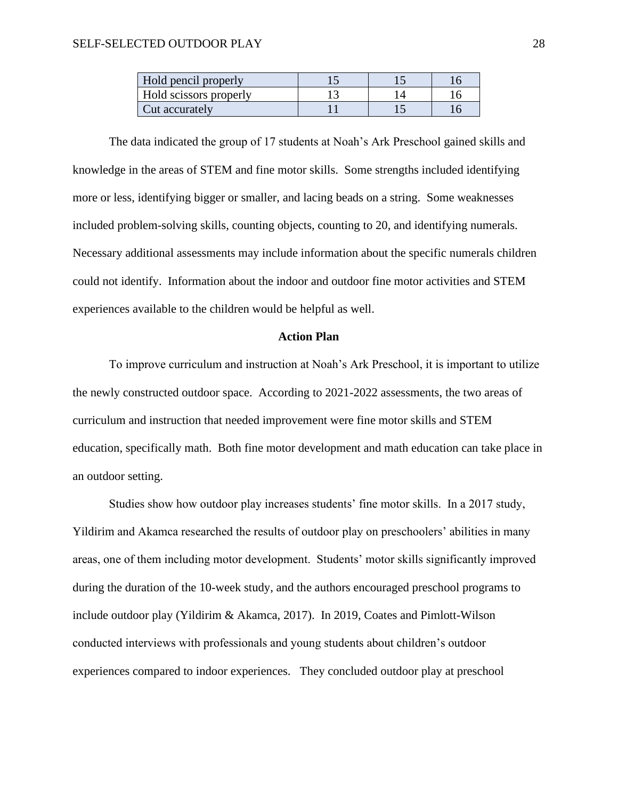| Hold pencil properly   |  |  |
|------------------------|--|--|
| Hold scissors properly |  |  |
| Cut accurately         |  |  |

The data indicated the group of 17 students at Noah's Ark Preschool gained skills and knowledge in the areas of STEM and fine motor skills. Some strengths included identifying more or less, identifying bigger or smaller, and lacing beads on a string. Some weaknesses included problem-solving skills, counting objects, counting to 20, and identifying numerals. Necessary additional assessments may include information about the specific numerals children could not identify. Information about the indoor and outdoor fine motor activities and STEM experiences available to the children would be helpful as well.

#### **Action Plan**

<span id="page-28-0"></span>To improve curriculum and instruction at Noah's Ark Preschool, it is important to utilize the newly constructed outdoor space. According to 2021-2022 assessments, the two areas of curriculum and instruction that needed improvement were fine motor skills and STEM education, specifically math. Both fine motor development and math education can take place in an outdoor setting.

Studies show how outdoor play increases students' fine motor skills. In a 2017 study, Yildirim and Akamca researched the results of outdoor play on preschoolers' abilities in many areas, one of them including motor development. Students' motor skills significantly improved during the duration of the 10-week study, and the authors encouraged preschool programs to include outdoor play (Yildirim & Akamca, 2017). In 2019, Coates and Pimlott-Wilson conducted interviews with professionals and young students about children's outdoor experiences compared to indoor experiences. They concluded outdoor play at preschool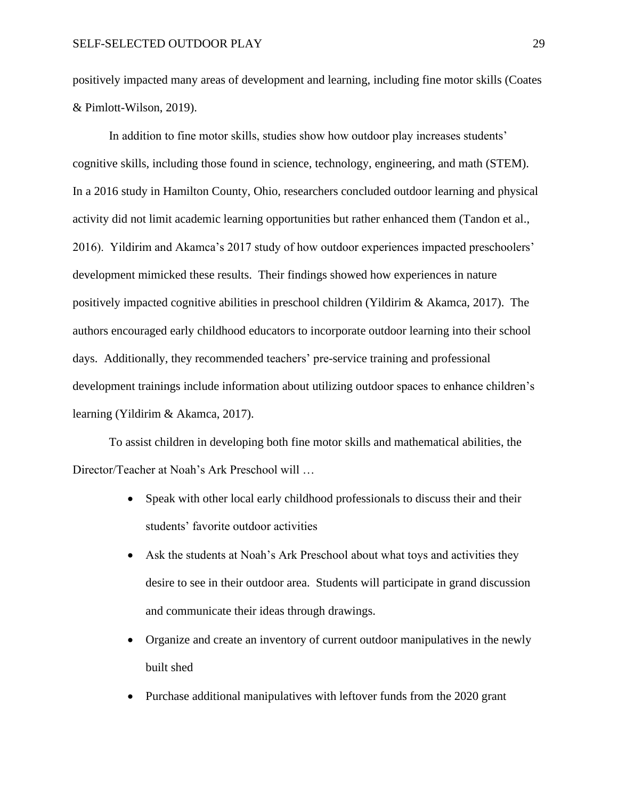positively impacted many areas of development and learning, including fine motor skills (Coates & Pimlott-Wilson, 2019).

In addition to fine motor skills, studies show how outdoor play increases students' cognitive skills, including those found in science, technology, engineering, and math (STEM). In a 2016 study in Hamilton County, Ohio, researchers concluded outdoor learning and physical activity did not limit academic learning opportunities but rather enhanced them (Tandon et al., 2016). Yildirim and Akamca's 2017 study of how outdoor experiences impacted preschoolers' development mimicked these results. Their findings showed how experiences in nature positively impacted cognitive abilities in preschool children (Yildirim & Akamca, 2017). The authors encouraged early childhood educators to incorporate outdoor learning into their school days. Additionally, they recommended teachers' pre-service training and professional development trainings include information about utilizing outdoor spaces to enhance children's learning (Yildirim & Akamca, 2017).

To assist children in developing both fine motor skills and mathematical abilities, the Director/Teacher at Noah's Ark Preschool will …

- Speak with other local early childhood professionals to discuss their and their students' favorite outdoor activities
- Ask the students at Noah's Ark Preschool about what toys and activities they desire to see in their outdoor area. Students will participate in grand discussion and communicate their ideas through drawings.
- Organize and create an inventory of current outdoor manipulatives in the newly built shed
- Purchase additional manipulatives with leftover funds from the 2020 grant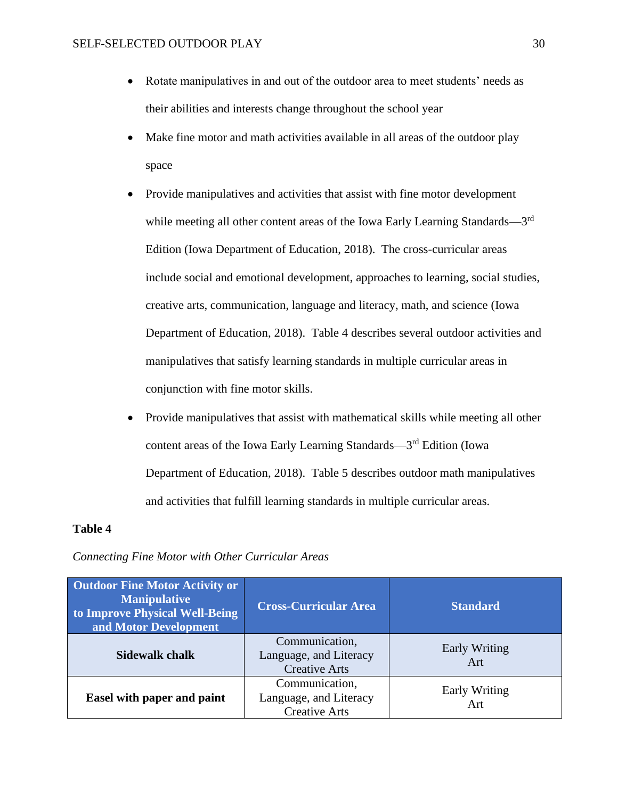- Rotate manipulatives in and out of the outdoor area to meet students' needs as their abilities and interests change throughout the school year
- Make fine motor and math activities available in all areas of the outdoor play space
- Provide manipulatives and activities that assist with fine motor development while meeting all other content areas of the Iowa Early Learning Standards—3<sup>rd</sup> Edition (Iowa Department of Education, 2018). The cross-curricular areas include social and emotional development, approaches to learning, social studies, creative arts, communication, language and literacy, math, and science (Iowa Department of Education, 2018). Table 4 describes several outdoor activities and manipulatives that satisfy learning standards in multiple curricular areas in conjunction with fine motor skills.
- Provide manipulatives that assist with mathematical skills while meeting all other content areas of the Iowa Early Learning Standards—3<sup>rd</sup> Edition (Iowa Department of Education, 2018). Table 5 describes outdoor math manipulatives and activities that fulfill learning standards in multiple curricular areas.

## **Table 4**

| <b>Outdoor Fine Motor Activity or</b><br><b>Manipulative</b><br>to Improve Physical Well-Being<br>and Motor Development | <b>Cross-Curricular Area</b>                                     | <b>Standard</b>             |
|-------------------------------------------------------------------------------------------------------------------------|------------------------------------------------------------------|-----------------------------|
| <b>Sidewalk chalk</b>                                                                                                   | Communication,<br>Language, and Literacy<br><b>Creative Arts</b> | <b>Early Writing</b><br>Art |
| Easel with paper and paint                                                                                              | Communication,<br>Language, and Literacy<br><b>Creative Arts</b> | <b>Early Writing</b><br>Art |

### *Connecting Fine Motor with Other Curricular Areas*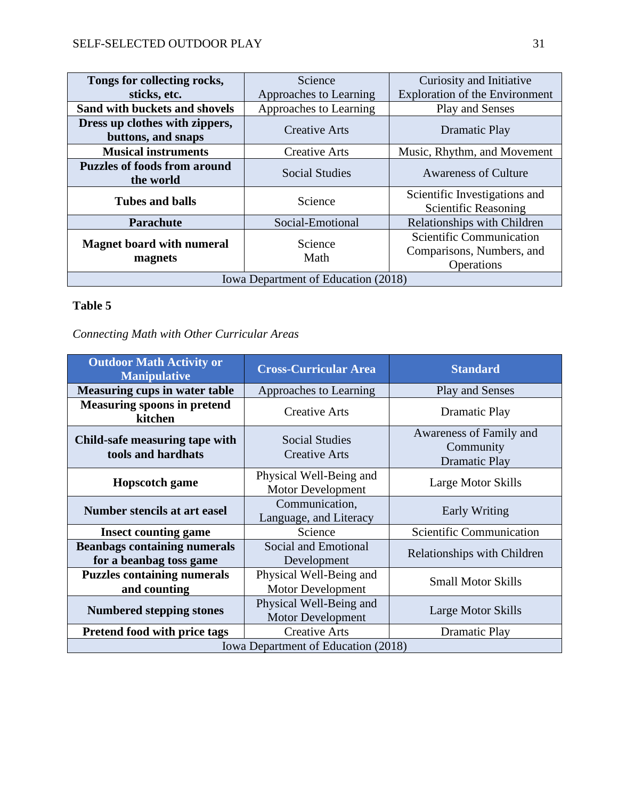| Tongs for collecting rocks,                          | Science                | Curiosity and Initiative                                            |
|------------------------------------------------------|------------------------|---------------------------------------------------------------------|
| sticks, etc.                                         | Approaches to Learning | <b>Exploration of the Environment</b>                               |
| Sand with buckets and shovels                        | Approaches to Learning | Play and Senses                                                     |
| Dress up clothes with zippers,<br>buttons, and snaps | <b>Creative Arts</b>   | Dramatic Play                                                       |
| <b>Musical instruments</b>                           | <b>Creative Arts</b>   | Music, Rhythm, and Movement                                         |
| <b>Puzzles of foods from around</b><br>the world     | Social Studies         | <b>Awareness of Culture</b>                                         |
| <b>Tubes and balls</b>                               | Science                | Scientific Investigations and<br>Scientific Reasoning               |
| <b>Parachute</b>                                     | Social-Emotional       | Relationships with Children                                         |
| <b>Magnet board with numeral</b><br>magnets          | Science<br>Math        | Scientific Communication<br>Comparisons, Numbers, and<br>Operations |
| Iowa Department of Education (2018)                  |                        |                                                                     |

# **Table 5**

*Connecting Math with Other Curricular Areas*

| <b>Outdoor Math Activity or</b><br><b>Manipulative</b>         | <b>Cross-Curricular Area</b>                        | <b>Standard</b>                                              |
|----------------------------------------------------------------|-----------------------------------------------------|--------------------------------------------------------------|
| <b>Measuring cups in water table</b>                           | Approaches to Learning                              | <b>Play and Senses</b>                                       |
| <b>Measuring spoons in pretend</b><br>kitchen                  | <b>Creative Arts</b>                                | Dramatic Play                                                |
| Child-safe measuring tape with<br>tools and hardhats           | <b>Social Studies</b><br><b>Creative Arts</b>       | Awareness of Family and<br>Community<br><b>Dramatic Play</b> |
| <b>Hopscotch game</b>                                          | Physical Well-Being and<br><b>Motor Development</b> | Large Motor Skills                                           |
| Number stencils at art easel                                   | Communication,<br>Language, and Literacy            | Early Writing                                                |
| <b>Insect counting game</b>                                    | Science                                             | Scientific Communication                                     |
| <b>Beanbags containing numerals</b><br>for a beanbag toss game | Social and Emotional<br>Development                 | Relationships with Children                                  |
| <b>Puzzles containing numerals</b><br>and counting             | Physical Well-Being and<br><b>Motor Development</b> | <b>Small Motor Skills</b>                                    |
| <b>Numbered stepping stones</b>                                | Physical Well-Being and<br><b>Motor Development</b> | Large Motor Skills                                           |
| <b>Pretend food with price tags</b>                            | <b>Creative Arts</b>                                | Dramatic Play                                                |
| Iowa Department of Education (2018)                            |                                                     |                                                              |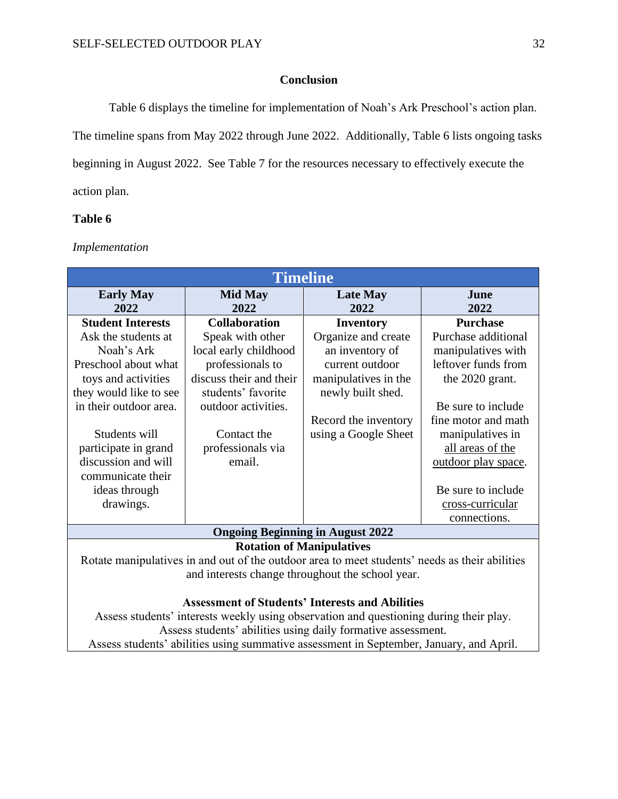# **Conclusion**

<span id="page-32-0"></span>Table 6 displays the timeline for implementation of Noah's Ark Preschool's action plan. The timeline spans from May 2022 through June 2022. Additionally, Table 6 lists ongoing tasks beginning in August 2022. See Table 7 for the resources necessary to effectively execute the action plan.

# **Table 6**

*Implementation*

| <b>Timeline</b>                                                                                |                         |                         |                     |
|------------------------------------------------------------------------------------------------|-------------------------|-------------------------|---------------------|
| <b>Early May</b><br>2022                                                                       | <b>Mid May</b><br>2022  | <b>Late May</b><br>2022 | June<br>2022        |
| <b>Student Interests</b>                                                                       | <b>Collaboration</b>    | <b>Inventory</b>        | <b>Purchase</b>     |
| Ask the students at                                                                            | Speak with other        | Organize and create     | Purchase additional |
| Noah's Ark                                                                                     | local early childhood   | an inventory of         | manipulatives with  |
| Preschool about what                                                                           | professionals to        | current outdoor         | leftover funds from |
| toys and activities                                                                            | discuss their and their | manipulatives in the    | the 2020 grant.     |
| they would like to see                                                                         | students' favorite      | newly built shed.       |                     |
| in their outdoor area.                                                                         | outdoor activities.     |                         | Be sure to include  |
|                                                                                                |                         | Record the inventory    | fine motor and math |
| Students will                                                                                  | Contact the             | using a Google Sheet    | manipulatives in    |
| participate in grand                                                                           | professionals via       |                         | all areas of the    |
| discussion and will                                                                            | email.                  |                         | outdoor play space. |
| communicate their                                                                              |                         |                         |                     |
| ideas through                                                                                  |                         |                         | Be sure to include  |
| drawings.                                                                                      |                         |                         | cross-curricular    |
|                                                                                                |                         |                         | connections.        |
| <b>Ongoing Beginning in August 2022</b>                                                        |                         |                         |                     |
| <b>Rotation of Manipulatives</b>                                                               |                         |                         |                     |
| Rotate manipulatives in and out of the outdoor area to meet students' needs as their abilities |                         |                         |                     |
| and interests change throughout the school year.                                               |                         |                         |                     |
|                                                                                                |                         |                         |                     |
| <b>Assessment of Students' Interests and Abilities</b>                                         |                         |                         |                     |
| Assess students' interests weekly using observation and questioning during their play.         |                         |                         |                     |
| Assess students' abilities using daily formative assessment.                                   |                         |                         |                     |

Assess students' abilities using summative assessment in September, January, and April.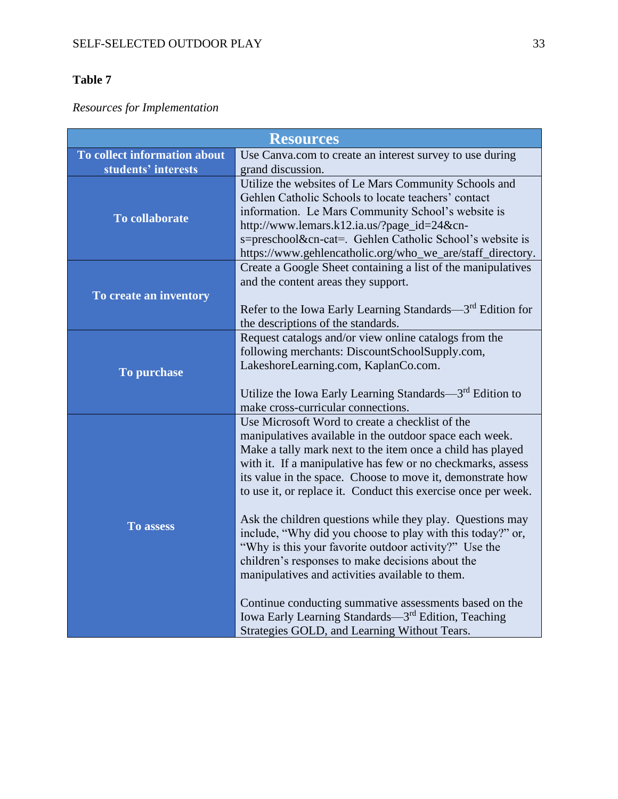# **Table 7**

*Resources for Implementation*

| <b>Resources</b>             |                                                                                                                                                                                                                                                                                                                                                                                                                                                                                                                                                                                                                                                                                                                                                                                                                                                 |  |
|------------------------------|-------------------------------------------------------------------------------------------------------------------------------------------------------------------------------------------------------------------------------------------------------------------------------------------------------------------------------------------------------------------------------------------------------------------------------------------------------------------------------------------------------------------------------------------------------------------------------------------------------------------------------------------------------------------------------------------------------------------------------------------------------------------------------------------------------------------------------------------------|--|
| To collect information about | Use Canva.com to create an interest survey to use during                                                                                                                                                                                                                                                                                                                                                                                                                                                                                                                                                                                                                                                                                                                                                                                        |  |
| students' interests          | grand discussion.                                                                                                                                                                                                                                                                                                                                                                                                                                                                                                                                                                                                                                                                                                                                                                                                                               |  |
| To collaborate               | Utilize the websites of Le Mars Community Schools and<br>Gehlen Catholic Schools to locate teachers' contact<br>information. Le Mars Community School's website is<br>http://www.lemars.k12.ia.us/?page_id=24&cn-<br>s=preschool&cn-cat=. Gehlen Catholic School's website is<br>https://www.gehlencatholic.org/who_we_are/staff_directory.                                                                                                                                                                                                                                                                                                                                                                                                                                                                                                     |  |
| To create an inventory       | Create a Google Sheet containing a list of the manipulatives<br>and the content areas they support.<br>Refer to the Iowa Early Learning Standards—3rd Edition for<br>the descriptions of the standards.                                                                                                                                                                                                                                                                                                                                                                                                                                                                                                                                                                                                                                         |  |
| To purchase                  | Request catalogs and/or view online catalogs from the<br>following merchants: DiscountSchoolSupply.com,<br>LakeshoreLearning.com, KaplanCo.com.<br>Utilize the Iowa Early Learning Standards—3rd Edition to<br>make cross-curricular connections.                                                                                                                                                                                                                                                                                                                                                                                                                                                                                                                                                                                               |  |
| To assess                    | Use Microsoft Word to create a checklist of the<br>manipulatives available in the outdoor space each week.<br>Make a tally mark next to the item once a child has played<br>with it. If a manipulative has few or no checkmarks, assess<br>its value in the space. Choose to move it, demonstrate how<br>to use it, or replace it. Conduct this exercise once per week.<br>Ask the children questions while they play. Questions may<br>include, "Why did you choose to play with this today?" or,<br>"Why is this your favorite outdoor activity?" Use the<br>children's responses to make decisions about the<br>manipulatives and activities available to them.<br>Continue conducting summative assessments based on the<br>Iowa Early Learning Standards—3 <sup>rd</sup> Edition, Teaching<br>Strategies GOLD, and Learning Without Tears. |  |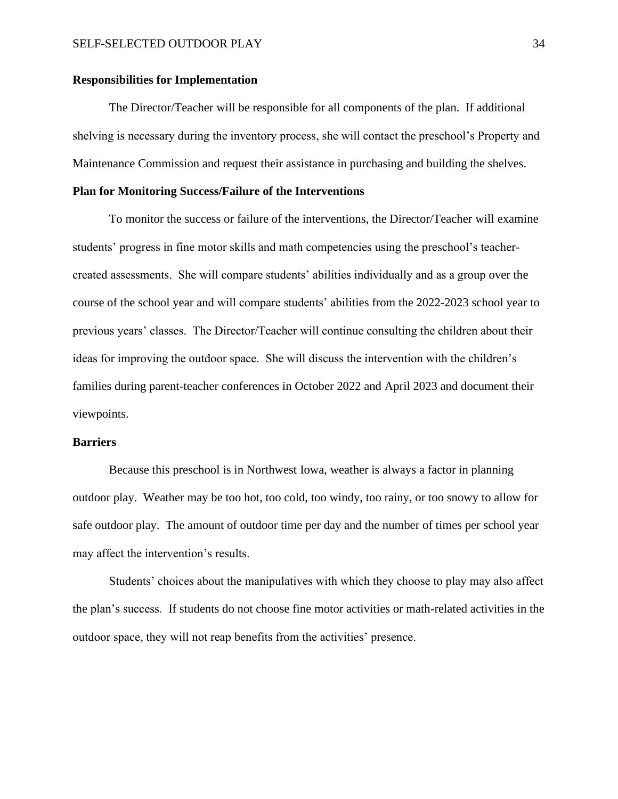#### **Responsibilities for Implementation**

The Director/Teacher will be responsible for all components of the plan. If additional shelving is necessary during the inventory process, she will contact the preschool's Property and Maintenance Commission and request their assistance in purchasing and building the shelves.

#### **Plan for Monitoring Success/Failure of the Interventions**

To monitor the success or failure of the interventions, the Director/Teacher will examine students' progress in fine motor skills and math competencies using the preschool's teachercreated assessments. She will compare students' abilities individually and as a group over the course of the school year and will compare students' abilities from the 2022-2023 school year to previous years' classes. The Director/Teacher will continue consulting the children about their ideas for improving the outdoor space. She will discuss the intervention with the children's families during parent-teacher conferences in October 2022 and April 2023 and document their viewpoints.

#### **Barriers**

Because this preschool is in Northwest Iowa, weather is always a factor in planning outdoor play. Weather may be too hot, too cold, too windy, too rainy, or too snowy to allow for safe outdoor play. The amount of outdoor time per day and the number of times per school year may affect the intervention's results.

Students' choices about the manipulatives with which they choose to play may also affect the plan's success. If students do not choose fine motor activities or math-related activities in the outdoor space, they will not reap benefits from the activities' presence.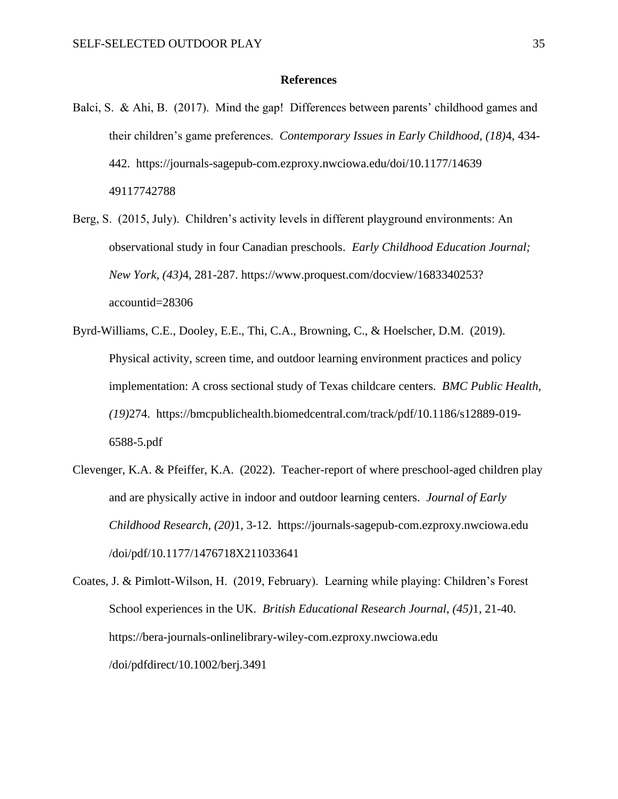#### **References**

- <span id="page-35-0"></span>Balci, S. & Ahi, B. (2017). Mind the gap! Differences between parents' childhood games and their children's game preferences. *Contemporary Issues in Early Childhood, (18)*4, 434- 442. https://journals-sagepub-com.ezproxy.nwciowa.edu/doi/10.1177/14639 49117742788
- Berg, S. (2015, July). Children's activity levels in different playground environments: An observational study in four Canadian preschools. *Early Childhood Education Journal; New York, (43)*4, 281-287. https://www.proquest.com/docview/1683340253? accountid=28306
- Byrd-Williams, C.E., Dooley, E.E., Thi, C.A., Browning, C., & Hoelscher, D.M. (2019). Physical activity, screen time, and outdoor learning environment practices and policy implementation: A cross sectional study of Texas childcare centers. *BMC Public Health, (19)*274. https://bmcpublichealth.biomedcentral.com/track/pdf/10.1186/s12889-019- 6588-5.pdf
- Clevenger, K.A. & Pfeiffer, K.A. (2022). Teacher-report of where preschool-aged children play and are physically active in indoor and outdoor learning centers. *Journal of Early Childhood Research, (20)*1, 3-12. https://journals-sagepub-com.ezproxy.nwciowa.edu /doi/pdf/10.1177/1476718X211033641
- Coates, J. & Pimlott-Wilson, H. (2019, February). Learning while playing: Children's Forest School experiences in the UK. *British Educational Research Journal, (45)*1, 21-40. https://bera-journals-onlinelibrary-wiley-com.ezproxy.nwciowa.edu /doi/pdfdirect/10.1002/berj.3491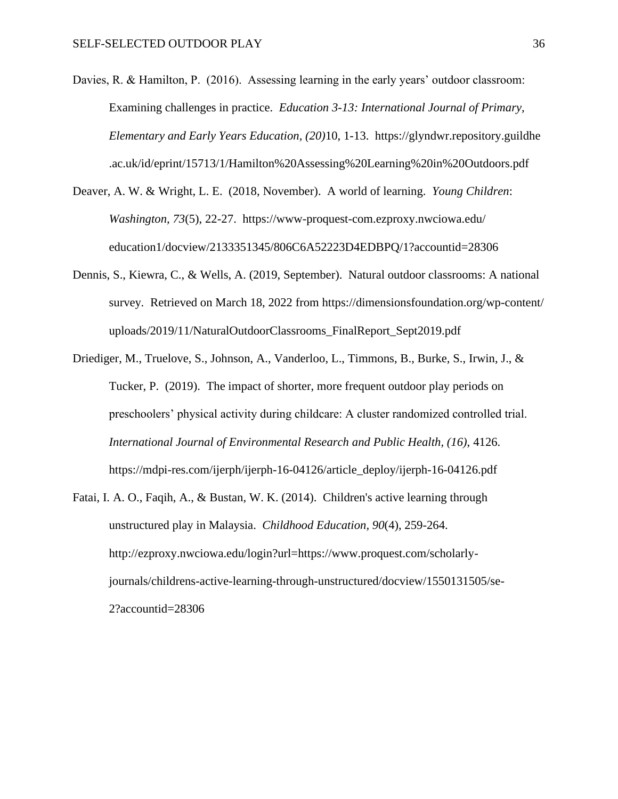- Davies, R. & Hamilton, P. (2016). Assessing learning in the early years' outdoor classroom: Examining challenges in practice. *Education 3-13: International Journal of Primary, Elementary and Early Years Education, (20)*10, 1-13. https://glyndwr.repository.guildhe .ac.uk/id/eprint/15713/1/Hamilton%20Assessing%20Learning%20in%20Outdoors.pdf
- Deaver, A. W. & Wright, L. E. (2018, November). A world of learning. *Young Children*: *Washington, 73*(5), 22-27. https://www-proquest-com.ezproxy.nwciowa.edu/ education1/docview/2133351345/806C6A52223D4EDBPQ/1?accountid=28306
- Dennis, S., Kiewra, C., & Wells, A. (2019, September). Natural outdoor classrooms: A national survey*.* Retrieved on March 18, 2022 from https://dimensionsfoundation.org/wp-content/ uploads/2019/11/NaturalOutdoorClassrooms\_FinalReport\_Sept2019.pdf
- Driediger, M., Truelove, S., Johnson, A., Vanderloo, L., Timmons, B., Burke, S., Irwin, J., & Tucker, P. (2019). The impact of shorter, more frequent outdoor play periods on preschoolers' physical activity during childcare: A cluster randomized controlled trial. *International Journal of Environmental Research and Public Health, (16)*, 4126. https://mdpi-res.com/ijerph/ijerph-16-04126/article\_deploy/ijerph-16-04126.pdf
- Fatai, I. A. O., Faqih, A., & Bustan, W. K. (2014). Children's active learning through unstructured play in Malaysia. *Childhood Education, 90*(4), 259-264. http://ezproxy.nwciowa.edu/login?url=https://www.proquest.com/scholarlyjournals/childrens-active-learning-through-unstructured/docview/1550131505/se-2?accountid=28306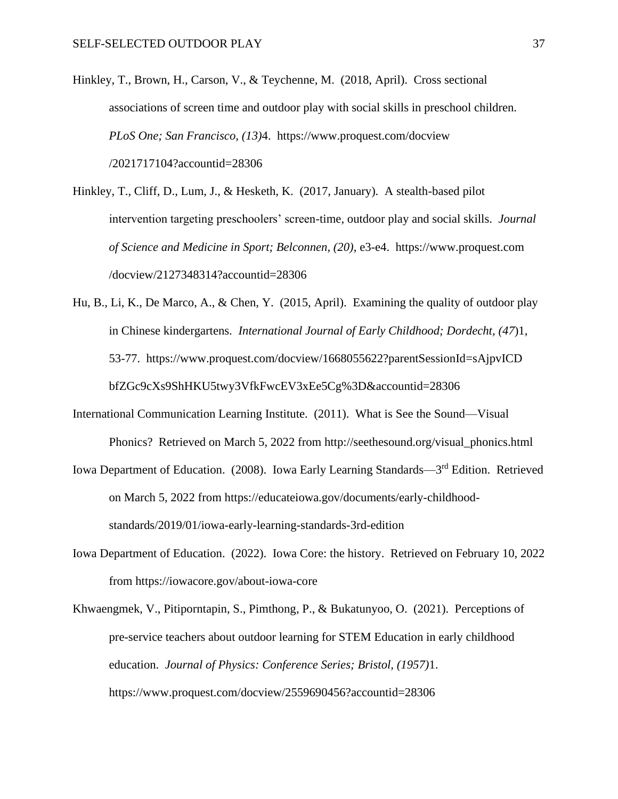- Hinkley, T., Brown, H., Carson, V., & Teychenne, M. (2018, April). Cross sectional associations of screen time and outdoor play with social skills in preschool children. *PLoS One; San Francisco, (13)*4. https://www.proquest.com/docview /2021717104?accountid=28306
- Hinkley, T., Cliff, D., Lum, J., & Hesketh, K. (2017, January). A stealth-based pilot intervention targeting preschoolers' screen-time, outdoor play and social skills. *Journal of Science and Medicine in Sport; Belconnen, (20)*, e3-e4. https://www.proquest.com /docview/2127348314?accountid=28306
- Hu, B., Li, K., De Marco, A., & Chen, Y. (2015, April). Examining the quality of outdoor play in Chinese kindergartens. *International Journal of Early Childhood; Dordecht, (47*)1, 53-77. https://www.proquest.com/docview/1668055622?parentSessionId=sAjpvICD bfZGc9cXs9ShHKU5twy3VfkFwcEV3xEe5Cg%3D&accountid=28306
- International Communication Learning Institute. (2011). What is See the Sound—Visual Phonics? Retrieved on March 5, 2022 from http://seethesound.org/visual\_phonics.html
- Iowa Department of Education. (2008). Iowa Early Learning Standards—3<sup>rd</sup> Edition. Retrieved on March 5, 2022 from https://educateiowa.gov/documents/early-childhoodstandards/2019/01/iowa-early-learning-standards-3rd-edition
- Iowa Department of Education. (2022). Iowa Core: the history. Retrieved on February 10, 2022 from https://iowacore.gov/about-iowa-core
- Khwaengmek, V., Pitiporntapin, S., Pimthong, P., & Bukatunyoo, O. (2021). Perceptions of pre-service teachers about outdoor learning for STEM Education in early childhood education. *Journal of Physics: Conference Series; Bristol, (1957)*1. https://www.proquest.com/docview/2559690456?accountid=28306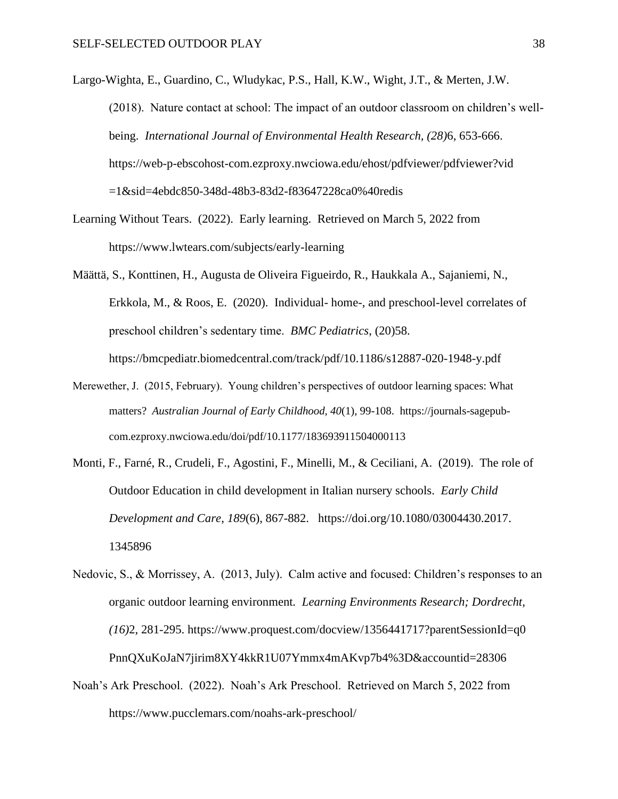Largo-Wighta, E., Guardino, C., Wludykac, P.S., Hall, K.W., Wight, J.T., & Merten, J.W. (2018). Nature contact at school: The impact of an outdoor classroom on children's wellbeing. *International Journal of Environmental Health Research, (28)*6, 653-666. https://web-p-ebscohost-com.ezproxy.nwciowa.edu/ehost/pdfviewer/pdfviewer?vid =1&sid=4ebdc850-348d-48b3-83d2-f83647228ca0%40redis

- Learning Without Tears. (2022). Early learning. Retrieved on March 5, 2022 from https://www.lwtears.com/subjects/early-learning
- Määttä, S., Konttinen, H., Augusta de Oliveira Figueirdo, R., Haukkala A., Sajaniemi, N., Erkkola, M., & Roos, E. (2020). Individual- home-, and preschool-level correlates of preschool children's sedentary time. *BMC Pediatrics*, (20)58. https://bmcpediatr.biomedcentral.com/track/pdf/10.1186/s12887-020-1948-y.pdf
- Merewether, J. (2015, February). Young children's perspectives of outdoor learning spaces: What matters? *Australian Journal of Early Childhood, 40*(1), 99-108. https://journals-sagepubcom.ezproxy.nwciowa.edu/doi/pdf/10.1177/183693911504000113
- Monti, F., Farné, R., Crudeli, F., Agostini, F., Minelli, M., & Ceciliani, A. (2019). The role of Outdoor Education in child development in Italian nursery schools. *Early Child Development and Care*, *189*(6), 867-882. https://doi.org/10.1080/03004430.2017. 1345896

Nedovic, S., & Morrissey, A. (2013, July). Calm active and focused: Children's responses to an organic outdoor learning environment*. Learning Environments Research; Dordrecht, (16)*2, 281-295. https://www.proquest.com/docview/1356441717?parentSessionId=q0 PnnQXuKoJaN7jirim8XY4kkR1U07Ymmx4mAKvp7b4%3D&accountid=28306

Noah's Ark Preschool. (2022). Noah's Ark Preschool. Retrieved on March 5, 2022 from https://www.pucclemars.com/noahs-ark-preschool/